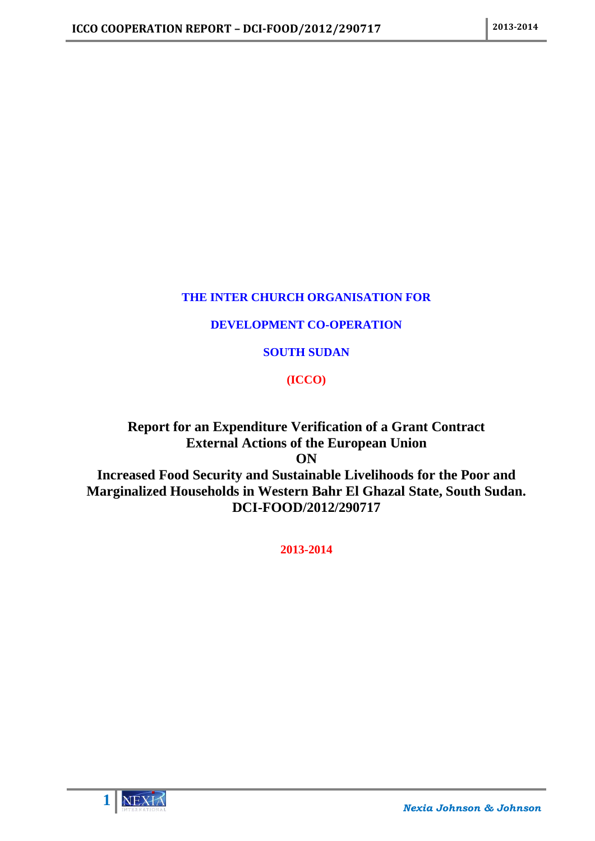## **THE INTER CHURCH ORGANISATION FOR**

## **DEVELOPMENT CO-OPERATION**

## **SOUTH SUDAN**

## **(ICCO)**

## **Report for an Expenditure Verification of a Grant Contract External Actions of the European Union ON Increased Food Security and Sustainable Livelihoods for the Poor and**

**Marginalized Households in Western Bahr El Ghazal State, South Sudan. DCI-FOOD/2012/290717**

**2013-2014**

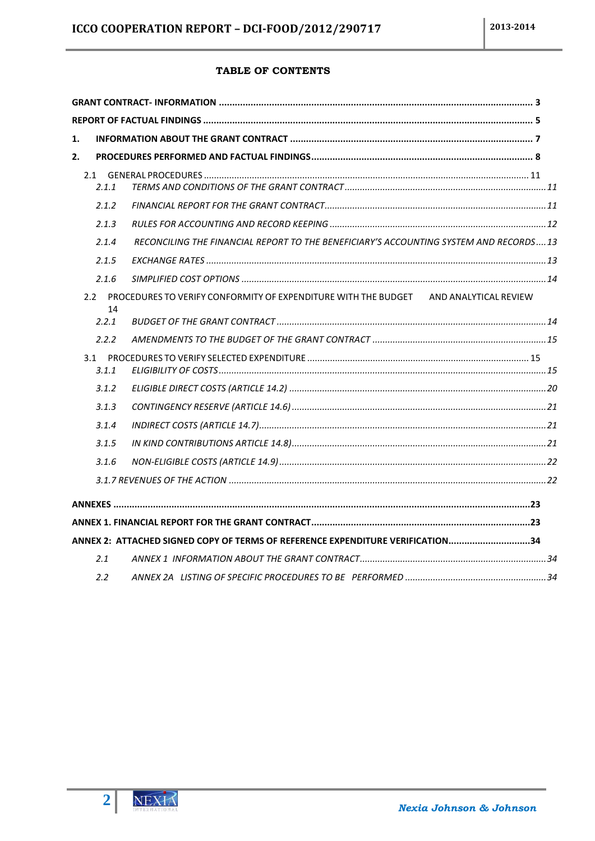## TABLE OF CONTENTS

| 1. |                     |                                                                                       |  |
|----|---------------------|---------------------------------------------------------------------------------------|--|
| 2. |                     |                                                                                       |  |
|    | 2.1.1               |                                                                                       |  |
|    | 2.1.2               |                                                                                       |  |
|    | 2.1.3               |                                                                                       |  |
|    | 2.1.4               | RECONCILING THE FINANCIAL REPORT TO THE BENEFICIARY'S ACCOUNTING SYSTEM AND RECORDS13 |  |
|    | 2.1.5               |                                                                                       |  |
|    | 2.1.6               |                                                                                       |  |
|    | $2.2^{\circ}$<br>14 | PROCEDURES TO VERIFY CONFORMITY OF EXPENDITURE WITH THE BUDGET AND ANALYTICAL REVIEW  |  |
|    | 2.2.1               |                                                                                       |  |
|    | 2.2.2               |                                                                                       |  |
|    | 3.1<br>3.1.1        |                                                                                       |  |
|    | 3.1.2               |                                                                                       |  |
|    | 3.1.3               |                                                                                       |  |
|    | 3.1.4               |                                                                                       |  |
|    | 3.1.5               |                                                                                       |  |
|    | 3.1.6               |                                                                                       |  |
|    |                     |                                                                                       |  |
|    |                     |                                                                                       |  |
|    |                     |                                                                                       |  |
|    |                     | ANNEX 2: ATTACHED SIGNED COPY OF TERMS OF REFERENCE EXPENDITURE VERIFICATION34        |  |
|    | 2.1                 |                                                                                       |  |
|    | 2.2                 |                                                                                       |  |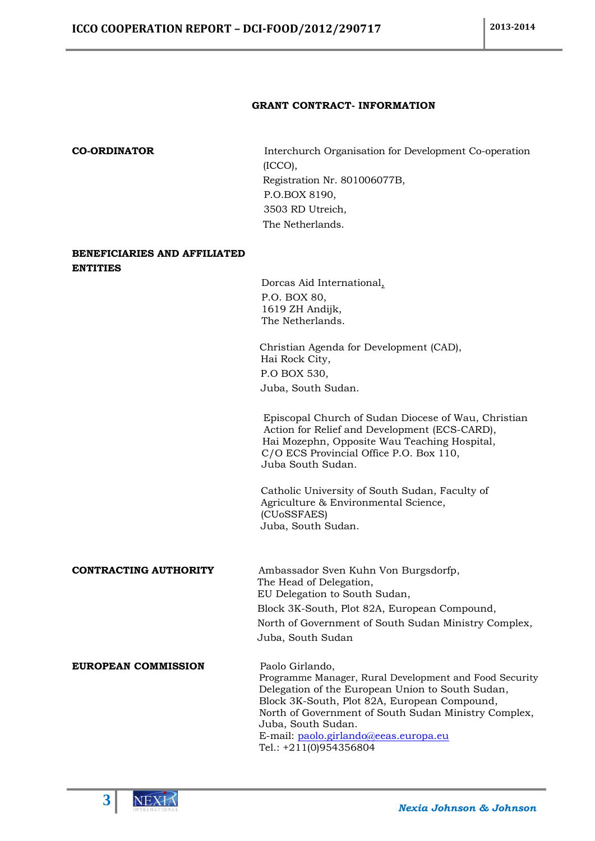## **GRANT CONTRACT- INFORMATION**

<span id="page-2-0"></span>**CO-ORDINATOR** Interchurch Organisation for Development Co-operation (ICCO), Registration Nr. 801006077B, P.O.BOX 8190, 3503 RD Utreich, The Netherlands.

## **BENEFICIARIES AND AFFILIATED ENTITIES**

 Dorcas Aid International, P.O. BOX 80, 1619 ZH Andijk, The Netherlands.

 Christian Agenda for Development (CAD), Hai Rock City, P.O BOX 530, Juba, South Sudan.

 Episcopal Church of Sudan Diocese of Wau, Christian Action for Relief and Development (ECS-CARD), Hai Mozephn, Opposite Wau Teaching Hospital, C/O ECS Provincial Office P.O. Box 110, Juba South Sudan.

Catholic University of South Sudan, Faculty of Agriculture & Environmental Science, (CUoSSFAES) Juba, South Sudan.

## **CONTRACTING AUTHORITY** Ambassador Sven Kuhn Von Burgsdorfp,

 The Head of Delegation, EU Delegation to South Sudan, Block 3K-South, Plot 82A, European Compound, North of Government of South Sudan Ministry Complex, Juba, South Sudan

## **EUROPEAN COMMISSION** Paolo Girlando,

 Programme Manager, Rural Development and Food Security Delegation of the European Union to South Sudan, Block 3K-South, Plot 82A, European Compound, North of Government of South Sudan Ministry Complex, Juba, South Sudan. E-mail: [paolo.girlando@eeas.europa.eu](mailto:paolo.girlando@eeas.europa.eu) Tel.: +211(0)954356804

**3**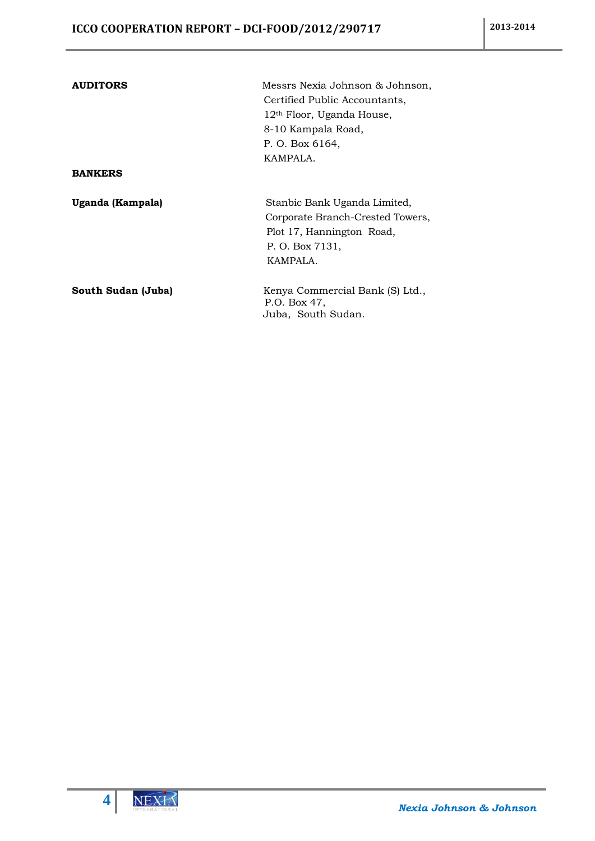| <b>AUDITORS</b>    | Messrs Nexia Johnson & Johnson,  |  |  |  |  |
|--------------------|----------------------------------|--|--|--|--|
|                    | Certified Public Accountants,    |  |  |  |  |
|                    | $12th$ Floor, Uganda House,      |  |  |  |  |
|                    | 8-10 Kampala Road,               |  |  |  |  |
|                    | P. O. Box 6164,                  |  |  |  |  |
|                    | KAMPALA.                         |  |  |  |  |
| <b>BANKERS</b>     |                                  |  |  |  |  |
| Uganda (Kampala)   | Stanbic Bank Uganda Limited,     |  |  |  |  |
|                    | Corporate Branch-Crested Towers, |  |  |  |  |
|                    | Plot 17, Hannington Road,        |  |  |  |  |
|                    | P. O. Box 7131,                  |  |  |  |  |
|                    | KAMPALA.                         |  |  |  |  |
| South Sudan (Juba) | Kenya Commercial Bank (S) Ltd.,  |  |  |  |  |
|                    | P.O. Box 47.                     |  |  |  |  |
|                    | Juba, South Sudan.               |  |  |  |  |

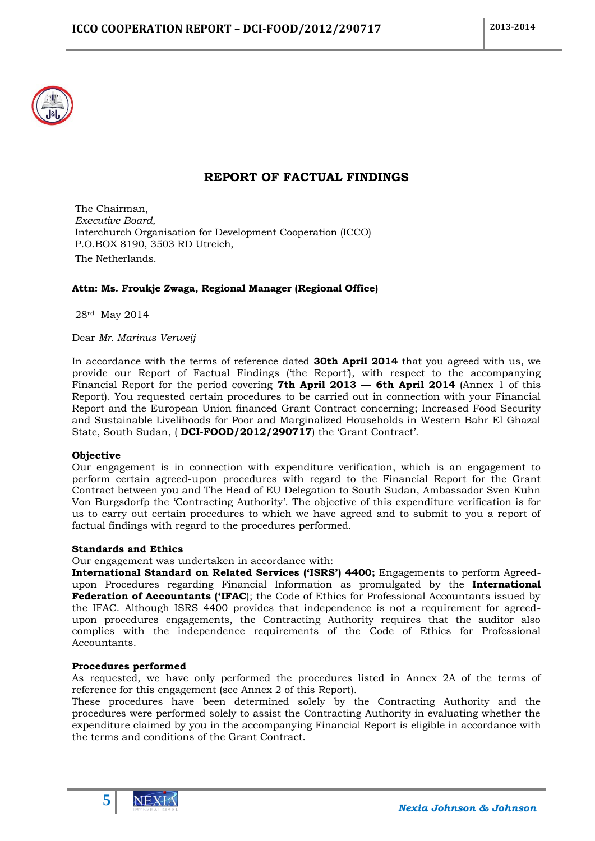

## **REPORT OF FACTUAL FINDINGS**

<span id="page-4-0"></span>The Chairman, *Executive Board,* Interchurch Organisation for Development Cooperation (ICCO) P.O.BOX 8190, 3503 RD Utreich, The Netherlands.

## **Attn: Ms. Froukje Zwaga, Regional Manager (Regional Office)**

28rd May 2014

Dear *Mr. Marinus Verweij*

In accordance with the terms of reference dated **30th April 2014** that you agreed with us, we provide our Report of Factual Findings ('the Report'), with respect to the accompanying Financial Report for the period covering **7th April 2013 — 6th April 2014** (Annex 1 of this Report). You requested certain procedures to be carried out in connection with your Financial Report and the European Union financed Grant Contract concerning; Increased Food Security and Sustainable Livelihoods for Poor and Marginalized Households in Western Bahr El Ghazal State, South Sudan, ( **DCI-FOOD/2012/290717**) the 'Grant Contract'.

## **Objective**

Our engagement is in connection with expenditure verification, which is an engagement to perform certain agreed-upon procedures with regard to the Financial Report for the Grant Contract between you and The Head of EU Delegation to South Sudan, Ambassador Sven Kuhn Von Burgsdorfp the 'Contracting Authority'. The objective of this expenditure verification is for us to carry out certain procedures to which we have agreed and to submit to you a report of factual findings with regard to the procedures performed.

## **Standards and Ethics**

Our engagement was undertaken in accordance with:

**International Standard on Related Services ('ISRS') 4400;** Engagements to perform Agreedupon Procedures regarding Financial Information as promulgated by the **International Federation of Accountants ('IFAC**); the Code of Ethics for Professional Accountants issued by the IFAC. Although ISRS 4400 provides that independence is not a requirement for agreedupon procedures engagements, the Contracting Authority requires that the auditor also complies with the independence requirements of the Code of Ethics for Professional Accountants.

## **Procedures performed**

As requested, we have only performed the procedures listed in Annex 2A of the terms of reference for this engagement (see Annex 2 of this Report).

These procedures have been determined solely by the Contracting Authority and the procedures were performed solely to assist the Contracting Authority in evaluating whether the expenditure claimed by you in the accompanying Financial Report is eligible in accordance with the terms and conditions of the Grant Contract.

**5**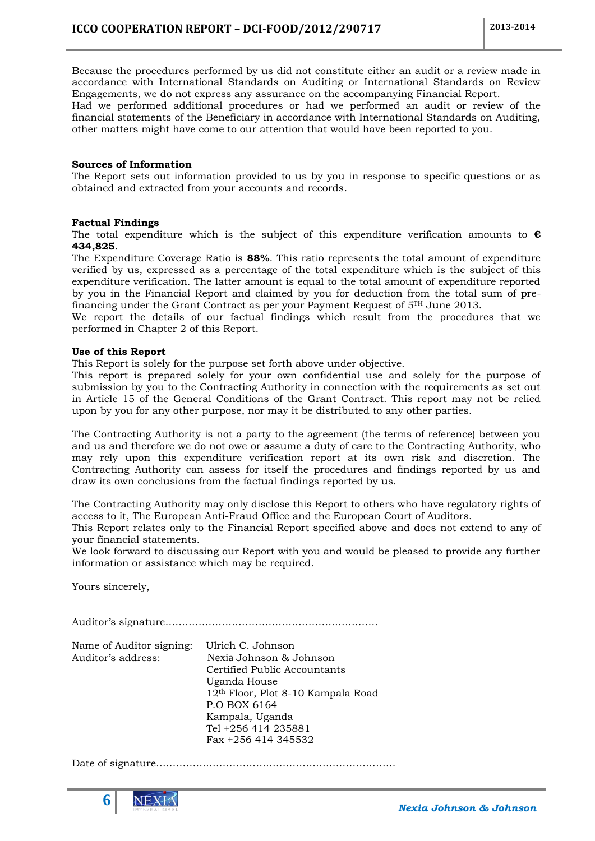Because the procedures performed by us did not constitute either an audit or a review made in accordance with International Standards on Auditing or International Standards on Review Engagements, we do not express any assurance on the accompanying Financial Report.

Had we performed additional procedures or had we performed an audit or review of the financial statements of the Beneficiary in accordance with International Standards on Auditing, other matters might have come to our attention that would have been reported to you.

## **Sources of Information**

The Report sets out information provided to us by you in response to specific questions or as obtained and extracted from your accounts and records.

## **Factual Findings**

The total expenditure which is the subject of this expenditure verification amounts to **€ 434,825**.

The Expenditure Coverage Ratio is **88%**. This ratio represents the total amount of expenditure verified by us, expressed as a percentage of the total expenditure which is the subject of this expenditure verification. The latter amount is equal to the total amount of expenditure reported by you in the Financial Report and claimed by you for deduction from the total sum of prefinancing under the Grant Contract as per your Payment Request of  $5<sup>TH</sup>$  June 2013.

We report the details of our factual findings which result from the procedures that we performed in Chapter 2 of this Report.

## **Use of this Report**

This Report is solely for the purpose set forth above under objective.

This report is prepared solely for your own confidential use and solely for the purpose of submission by you to the Contracting Authority in connection with the requirements as set out in Article 15 of the General Conditions of the Grant Contract. This report may not be relied upon by you for any other purpose, nor may it be distributed to any other parties.

The Contracting Authority is not a party to the agreement (the terms of reference) between you and us and therefore we do not owe or assume a duty of care to the Contracting Authority, who may rely upon this expenditure verification report at its own risk and discretion. The Contracting Authority can assess for itself the procedures and findings reported by us and draw its own conclusions from the factual findings reported by us.

The Contracting Authority may only disclose this Report to others who have regulatory rights of access to it, The European Anti-Fraud Office and the European Court of Auditors.

This Report relates only to the Financial Report specified above and does not extend to any of your financial statements.

We look forward to discussing our Report with you and would be pleased to provide any further information or assistance which may be required.

Yours sincerely,

Auditor's signature……………………………………………………….

| Name of Auditor signing: | Ulrich C. Johnson                              |
|--------------------------|------------------------------------------------|
| Auditor's address:       | Nexia Johnson & Johnson                        |
|                          | Certified Public Accountants                   |
|                          | Uganda House                                   |
|                          | 12 <sup>th</sup> Floor, Plot 8-10 Kampala Road |
|                          | P.O BOX 6164                                   |
|                          | Kampala, Uganda                                |
|                          | Tel +256 414 235881                            |
|                          | Fax +256 414 345532                            |
|                          |                                                |

Date of signature………………………………………………………………

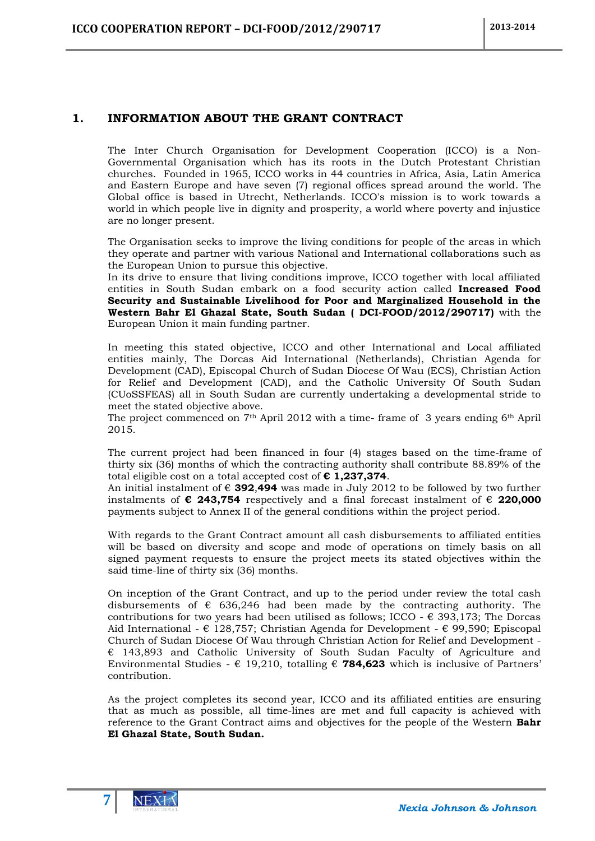## <span id="page-6-0"></span>**1. INFORMATION ABOUT THE GRANT CONTRACT**

The Inter Church Organisation for Development Cooperation (ICCO) is a Non-Governmental Organisation which has its roots in the Dutch Protestant Christian churches. Founded in 1965, ICCO works in 44 countries in Africa, Asia, Latin America and Eastern Europe and have seven (7) regional offices spread around the world. The Global office is based in Utrecht, Netherlands. ICCO's mission is to work towards a world in which people live in dignity and prosperity, a world where poverty and injustice are no longer present.

The Organisation seeks to improve the living conditions for people of the areas in which they operate and partner with various National and International collaborations such as the European Union to pursue this objective.

In its drive to ensure that living conditions improve, ICCO together with local affiliated entities in South Sudan embark on a food security action called **Increased Food Security and Sustainable Livelihood for Poor and Marginalized Household in the Western Bahr El Ghazal State, South Sudan ( DCI-FOOD/2012/290717)** with the European Union it main funding partner.

In meeting this stated objective, ICCO and other International and Local affiliated entities mainly, The Dorcas Aid International (Netherlands), Christian Agenda for Development (CAD), Episcopal Church of Sudan Diocese Of Wau (ECS), Christian Action for Relief and Development (CAD), and the Catholic University Of South Sudan (CUoSSFEAS) all in South Sudan are currently undertaking a developmental stride to meet the stated objective above.

The project commenced on  $7<sup>th</sup>$  April 2012 with a time-frame of 3 years ending 6<sup>th</sup> April 2015.

The current project had been financed in four (4) stages based on the time-frame of thirty six (36) months of which the contracting authority shall contribute 88.89% of the total eligible cost on a total accepted cost of **€ 1,237,374**.

An initial instalment of € **392**,**494** was made in July 2012 to be followed by two further instalments of **€ 243,754** respectively and a final forecast instalment of € **220,000** payments subject to Annex II of the general conditions within the project period.

With regards to the Grant Contract amount all cash disbursements to affiliated entities will be based on diversity and scope and mode of operations on timely basis on all signed payment requests to ensure the project meets its stated objectives within the said time-line of thirty six (36) months.

On inception of the Grant Contract, and up to the period under review the total cash disbursements of  $\epsilon$  636,246 had been made by the contracting authority. The contributions for two years had been utilised as follows; ICCO -  $\epsilon$  393,173; The Dorcas Aid International -  $\epsilon$  128,757; Christian Agenda for Development -  $\epsilon$  99,590; Episcopal Church of Sudan Diocese Of Wau through Christian Action for Relief and Development -  $\epsilon$  143,893 and Catholic University of South Sudan Faculty of Agriculture and Environmental Studies - € 19,210, totalling € **784,623** which is inclusive of Partners' contribution.

As the project completes its second year, ICCO and its affiliated entities are ensuring that as much as possible, all time-lines are met and full capacity is achieved with reference to the Grant Contract aims and objectives for the people of the Western **Bahr El Ghazal State, South Sudan.**

**7**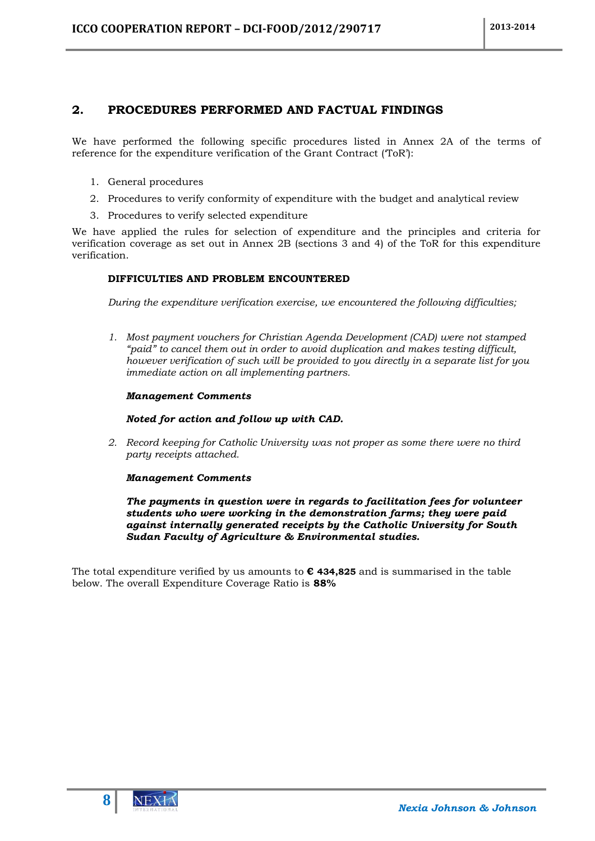## <span id="page-7-0"></span>**2. PROCEDURES PERFORMED AND FACTUAL FINDINGS**

We have performed the following specific procedures listed in Annex 2A of the terms of reference for the expenditure verification of the Grant Contract (ToR'):

- 1. General procedures
- 2. Procedures to verify conformity of expenditure with the budget and analytical review
- 3. Procedures to verify selected expenditure

We have applied the rules for selection of expenditure and the principles and criteria for verification coverage as set out in Annex 2B (sections 3 and 4) of the ToR for this expenditure verification.

## **DIFFICULTIES AND PROBLEM ENCOUNTERED**

*During the expenditure verification exercise, we encountered the following difficulties;*

*1. Most payment vouchers for Christian Agenda Development (CAD) were not stamped "paid" to cancel them out in order to avoid duplication and makes testing difficult, however verification of such will be provided to you directly in a separate list for you immediate action on all implementing partners.*

## *Management Comments*

## *Noted for action and follow up with CAD.*

*2. Record keeping for Catholic University was not proper as some there were no third party receipts attached.* 

## *Management Comments*

*The payments in question were in regards to facilitation fees for volunteer students who were working in the demonstration farms; they were paid against internally generated receipts by the Catholic University for South Sudan Faculty of Agriculture & Environmental studies.*

The total expenditure verified by us amounts to **€ 434,825** and is summarised in the table below. The overall Expenditure Coverage Ratio is **88%**

**8**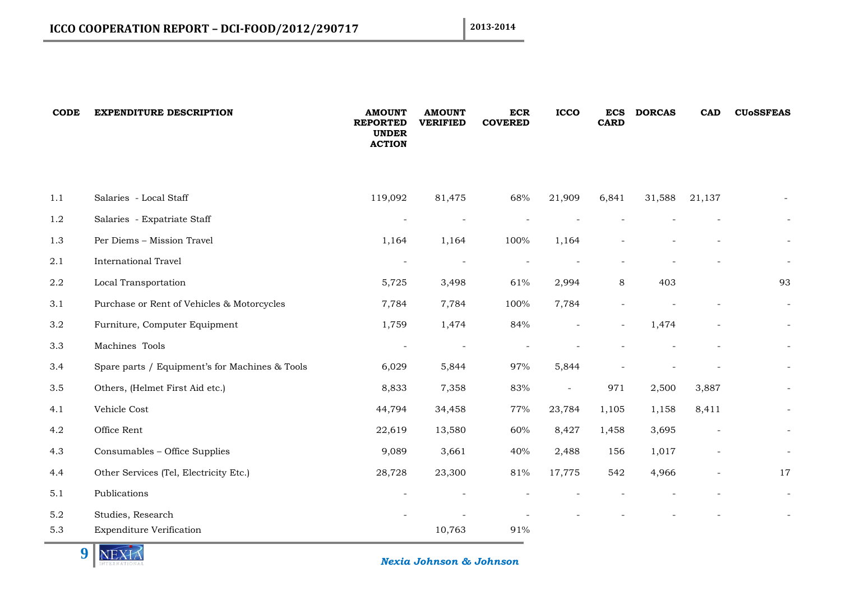| <b>CODE</b> | <b>EXPENDITURE DESCRIPTION</b>                 | <b>AMOUNT</b><br><b>REPORTED</b><br><b>UNDER</b><br><b>ACTION</b> | <b>AMOUNT</b><br><b>VERIFIED</b> | <b>ECR</b><br><b>COVERED</b> | <b>ICCO</b> | <b>ECS</b><br><b>CARD</b> | <b>DORCAS</b> | <b>CAD</b>               | <b>CU<sub>o</sub>SSFEAS</b> |
|-------------|------------------------------------------------|-------------------------------------------------------------------|----------------------------------|------------------------------|-------------|---------------------------|---------------|--------------------------|-----------------------------|
| 1.1         | Salaries - Local Staff                         | 119,092                                                           | 81,475                           | 68%                          | 21,909      | 6,841                     | 31,588        | 21,137                   |                             |
| 1.2         | Salaries - Expatriate Staff                    |                                                                   |                                  |                              |             |                           |               |                          | $\sim$                      |
| 1.3         | Per Diems - Mission Travel                     | 1,164                                                             | 1,164                            | 100%                         | 1,164       |                           |               |                          |                             |
| 2.1         | <b>International Travel</b>                    | $\overline{\phantom{a}}$                                          | $\overline{\phantom{a}}$         | $\overline{\phantom{a}}$     |             |                           |               |                          | $\overline{\phantom{a}}$    |
| 2.2         | Local Transportation                           | 5,725                                                             | 3,498                            | 61%                          | 2,994       | 8                         | 403           |                          | 93                          |
| 3.1         | Purchase or Rent of Vehicles & Motorcycles     | 7,784                                                             | 7,784                            | 100%                         | 7,784       |                           |               |                          | $\equiv$                    |
| 3.2         | Furniture, Computer Equipment                  | 1,759                                                             | 1,474                            | 84%                          |             |                           | 1,474         |                          | $\sim$                      |
| 3.3         | Machines Tools                                 | $\sim$                                                            |                                  |                              |             |                           |               |                          | $\sim$                      |
| 3.4         | Spare parts / Equipment's for Machines & Tools | 6,029                                                             | 5,844                            | 97%                          | 5,844       |                           |               |                          | $\sim$                      |
| 3.5         | Others, (Helmet First Aid etc.)                | 8,833                                                             | 7,358                            | 83%                          | $\sim$      | 971                       | 2,500         | 3,887                    |                             |
| 4.1         | Vehicle Cost                                   | 44,794                                                            | 34,458                           | 77%                          | 23,784      | 1,105                     | 1,158         | 8,411                    | $\sim$                      |
| 4.2         | Office Rent                                    | 22,619                                                            | 13,580                           | 60%                          | 8,427       | 1,458                     | 3,695         |                          | $\sim$                      |
| 4.3         | Consumables - Office Supplies                  | 9,089                                                             | 3,661                            | 40%                          | 2,488       | 156                       | 1,017         |                          |                             |
| 4.4         | Other Services (Tel, Electricity Etc.)         | 28,728                                                            | 23,300                           | $81\%$                       | 17,775      | 542                       | 4,966         | $\overline{\phantom{a}}$ | 17                          |
| 5.1         | Publications                                   |                                                                   |                                  |                              |             |                           |               |                          | $\sim$                      |
| 5.2         | Studies, Research                              |                                                                   |                                  |                              |             |                           |               |                          |                             |
| 5.3         | <b>Expenditure Verification</b>                |                                                                   | 10,763                           | 91%                          |             |                           |               |                          |                             |

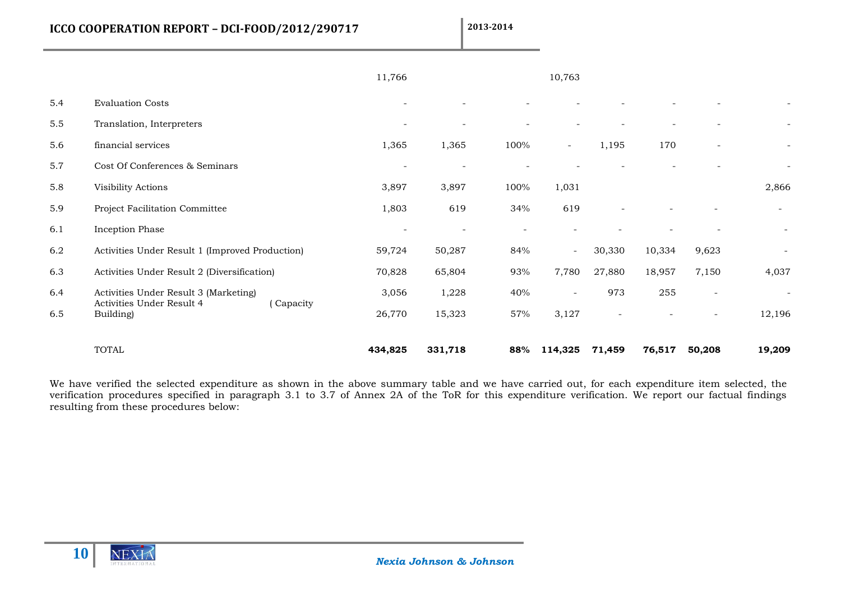**ICCO COOPERATION REPORT - DCI-FOOD/2012/290717** 2013-2014

|     |                                                                                 | 11,766                   |                          |      | 10,763                   |                          |                          |                |                          |
|-----|---------------------------------------------------------------------------------|--------------------------|--------------------------|------|--------------------------|--------------------------|--------------------------|----------------|--------------------------|
| 5.4 | <b>Evaluation Costs</b>                                                         | $\sim$                   |                          |      |                          |                          |                          |                |                          |
| 5.5 | Translation, Interpreters                                                       |                          |                          |      |                          |                          |                          |                | $\sim$                   |
| 5.6 | financial services                                                              | 1,365                    | 1,365                    | 100% | $\sim$                   | 1,195                    | 170                      | $\overline{a}$ | $\sim$                   |
| 5.7 | Cost Of Conferences & Seminars                                                  |                          |                          |      |                          |                          |                          |                |                          |
| 5.8 | Visibility Actions                                                              | 3,897                    | 3,897                    | 100% | 1,031                    |                          |                          |                | 2,866                    |
| 5.9 | Project Facilitation Committee                                                  | 1,803                    | 619                      | 34%  | 619                      |                          |                          |                | $\sim$                   |
| 6.1 | Inception Phase                                                                 | $\overline{\phantom{a}}$ | $\overline{\phantom{a}}$ |      |                          |                          | $\overline{\phantom{a}}$ |                | $\blacksquare$           |
| 6.2 | Activities Under Result 1 (Improved Production)                                 | 59,724                   | 50,287                   | 84%  | $\sim$                   | 30,330                   | 10,334                   | 9,623          | $\overline{\phantom{a}}$ |
| 6.3 | Activities Under Result 2 (Diversification)                                     | 70,828                   | 65,804                   | 93%  | 7,780                    | 27,880                   | 18,957                   | 7,150          | 4,037                    |
| 6.4 | Activities Under Result 3 (Marketing)<br>Activities Under Result 4<br>(Capacity | 3,056                    | 1,228                    | 40%  | $\overline{\phantom{a}}$ | 973                      | 255                      | $\sim$         | $\overline{\phantom{a}}$ |
| 6.5 | Building)                                                                       | 26,770                   | 15,323                   | 57%  | 3,127                    | $\overline{\phantom{a}}$ | $\overline{a}$           |                | 12,196                   |
|     | <b>TOTAL</b>                                                                    | 434,825                  | 331,718                  | 88%  | 114,325                  | 71,459                   | 76,517                   | 50,208         | 19,209                   |

We have verified the selected expenditure as shown in the above summary table and we have carried out, for each expenditure item selected, the verification procedures specified in paragraph 3.1 to 3.7 of Annex 2A of the ToR for this expenditure verification. We report our factual findings resulting from these procedures below:

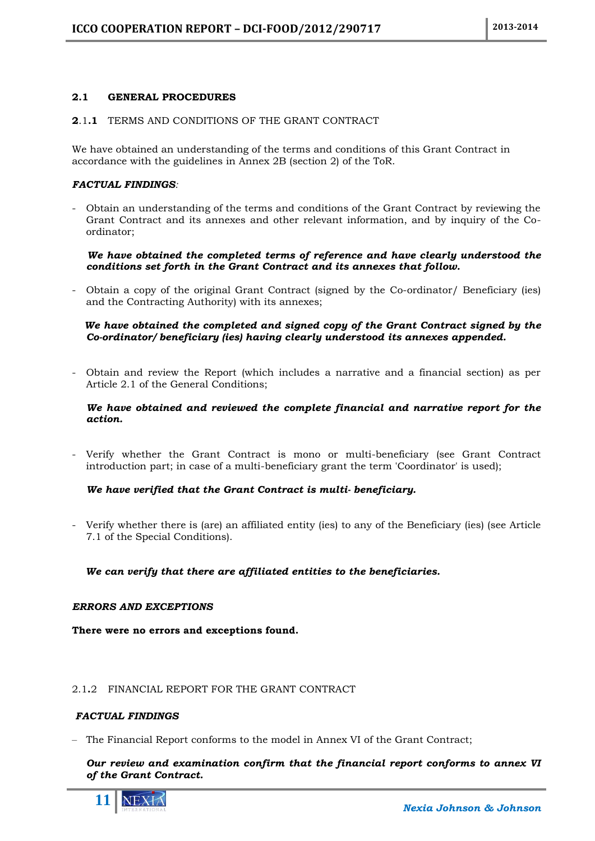## <span id="page-10-0"></span>**2.1 GENERAL PROCEDURES**

## <span id="page-10-1"></span>**2**.1**.1** TERMS AND CONDITIONS OF THE GRANT CONTRACT

We have obtained an understanding of the terms and conditions of this Grant Contract in accordance with the guidelines in Annex 2B (section 2) of the ToR.

## *FACTUAL FINDINGS:*

- Obtain an understanding of the terms and conditions of the Grant Contract by reviewing the Grant Contract and its annexes and other relevant information, and by inquiry of the Coordinator;

## *We have obtained the completed terms of reference and have clearly understood the conditions set forth in the Grant Contract and its annexes that follow.*

Obtain a copy of the original Grant Contract (signed by the Co-ordinator/ Beneficiary (ies) and the Contracting Authority) with its annexes;

## *We have obtained the completed and signed copy of the Grant Contract signed by the Co-ordinator/ beneficiary (ies) having clearly understood its annexes appended.*

- Obtain and review the Report (which includes a narrative and a financial section) as per Article 2.1 of the General Conditions;

## *We have obtained and reviewed the complete financial and narrative report for the action.*

- Verify whether the Grant Contract is mono or multi-beneficiary (see Grant Contract introduction part; in case of a multi-beneficiary grant the term 'Coordinator' is used);

## *We have verified that the Grant Contract is multi- beneficiary.*

- Verify whether there is (are) an affiliated entity (ies) to any of the Beneficiary (ies) (see Article 7.1 of the Special Conditions).

 *We can verify that there are affiliated entities to the beneficiaries.*

## *ERRORS AND EXCEPTIONS*

**There were no errors and exceptions found.**

## <span id="page-10-2"></span>2.1**.**2 FINANCIAL REPORT FOR THE GRANT CONTRACT

## *FACTUAL FINDINGS*

– The Financial Report conforms to the model in Annex VI of the Grant Contract;

## *Our review and examination confirm that the financial report conforms to annex VI of the Grant Contract.*

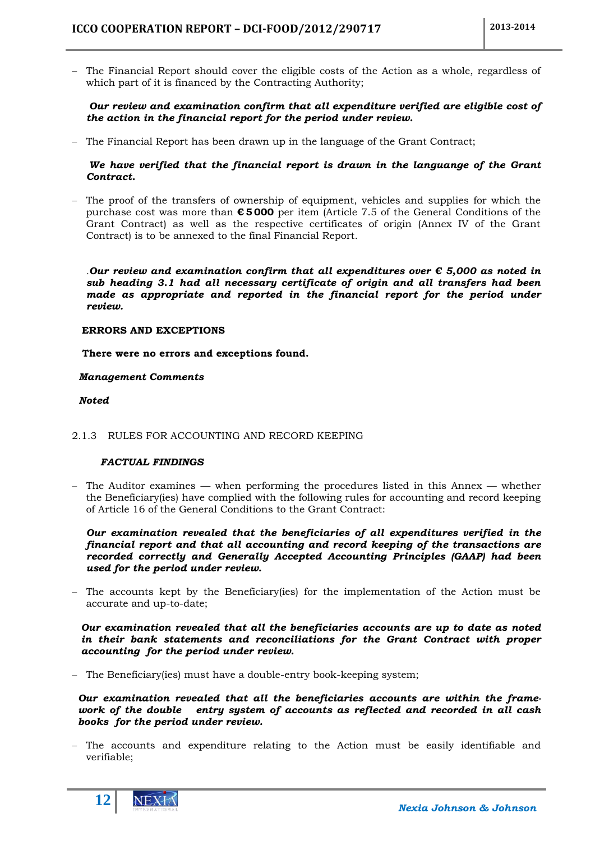– The Financial Report should cover the eligible costs of the Action as a whole, regardless of which part of it is financed by the Contracting Authority;

## *Our review and examination confirm that all expenditure verified are eligible cost of the action in the financial report for the period under review.*

– The Financial Report has been drawn up in the language of the Grant Contract;

## *We have verified that the financial report is drawn in the languange of the Grant Contract.*

– The proof of the transfers of ownership of equipment, vehicles and supplies for which the purchase cost was more than **€ 5 000** per item (Article 7.5 of the General Conditions of the Grant Contract) as well as the respective certificates of origin (Annex IV of the Grant Contract) is to be annexed to the final Financial Report.

*.Our review and examination confirm that all expenditures over € 5,000 as noted in sub heading 3.1 had all necessary certificate of origin and all transfers had been made as appropriate and reported in the financial report for the period under review.*

## **ERRORS AND EXCEPTIONS**

 **There were no errors and exceptions found.**

## *Management Comments*

## *Noted*

## <span id="page-11-0"></span>2.1.3 RULES FOR ACCOUNTING AND RECORD KEEPING

## *FACTUAL FINDINGS*

– The Auditor examines — when performing the procedures listed in this Annex — whether the Beneficiary(ies) have complied with the following rules for accounting and record keeping of Article 16 of the General Conditions to the Grant Contract:

*Our examination revealed that the beneficiaries of all expenditures verified in the financial report and that all accounting and record keeping of the transactions are recorded correctly and Generally Accepted Accounting Principles (GAAP) had been used for the period under review.*

– The accounts kept by the Beneficiary(ies) for the implementation of the Action must be accurate and up-to-date;

*Our examination revealed that all the beneficiaries accounts are up to date as noted in their bank statements and reconciliations for the Grant Contract with proper accounting for the period under review.*

– The Beneficiary(ies) must have a double-entry book-keeping system;

*Our examination revealed that all the beneficiaries accounts are within the framework of the double entry system of accounts as reflected and recorded in all cash books for the period under review.*

– The accounts and expenditure relating to the Action must be easily identifiable and verifiable;

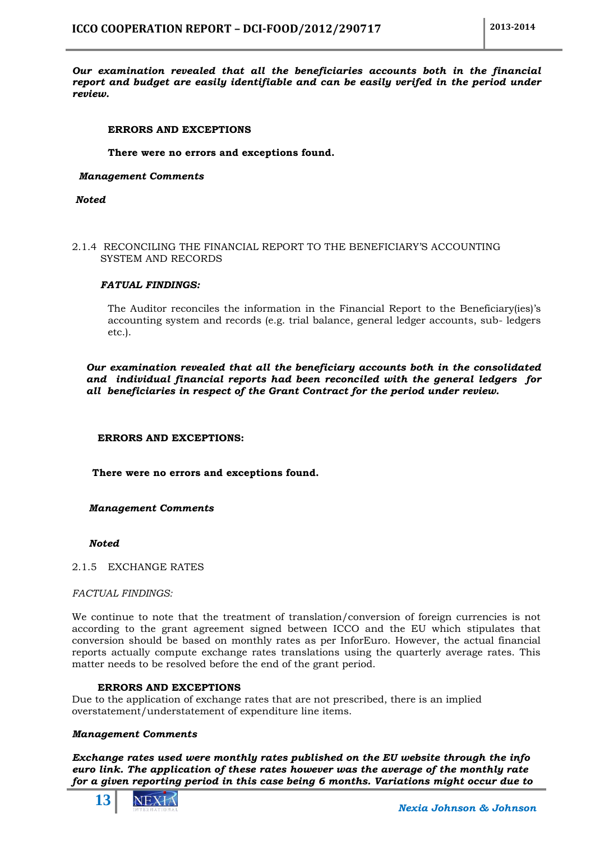*Our examination revealed that all the beneficiaries accounts both in the financial report and budget are easily identifiable and can be easily verifed in the period under review.*

## **ERRORS AND EXCEPTIONS**

## **There were no errors and exceptions found.**

## *Management Comments*

*Noted*

## <span id="page-12-0"></span>2.1.4 RECONCILING THE FINANCIAL REPORT TO THE BENEFICIARY'S ACCOUNTING SYSTEM AND RECORDS

## *FATUAL FINDINGS:*

The Auditor reconciles the information in the Financial Report to the Beneficiary(ies)'s accounting system and records (e.g. trial balance, general ledger accounts, sub- ledgers etc.).

*Our examination revealed that all the beneficiary accounts both in the consolidated and individual financial reports had been reconciled with the general ledgers for all beneficiaries in respect of the Grant Contract for the period under review.*

## **ERRORS AND EXCEPTIONS:**

 **There were no errors and exceptions found.**

## *Management Comments*

## *Noted*

## <span id="page-12-1"></span>2.1.5 EXCHANGE RATES

## *FACTUAL FINDINGS:*

We continue to note that the treatment of translation/conversion of foreign currencies is not according to the grant agreement signed between ICCO and the EU which stipulates that conversion should be based on monthly rates as per InforEuro. However, the actual financial reports actually compute exchange rates translations using the quarterly average rates. This matter needs to be resolved before the end of the grant period.

## **ERRORS AND EXCEPTIONS**

Due to the application of exchange rates that are not prescribed, there is an implied overstatement/understatement of expenditure line items.

## *Management Comments*

*Exchange rates used were monthly rates published on the EU website through the info euro link. The application of these rates however was the average of the monthly rate for a given reporting period in this case being 6 months. Variations might occur due to* 

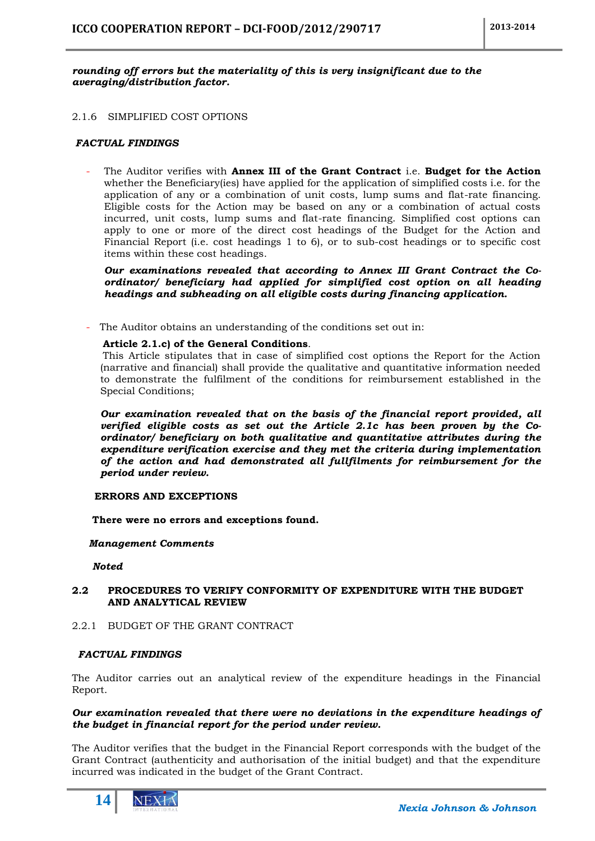## *rounding off errors but the materiality of this is very insignificant due to the averaging/distribution factor.*

## <span id="page-13-0"></span>2.1.6 SIMPLIFIED COST OPTIONS

## *FACTUAL FINDINGS*

The Auditor verifies with **Annex III of the Grant Contract** i.e. **Budget for the Action** whether the Beneficiary(ies) have applied for the application of simplified costs i.e. for the application of any or a combination of unit costs, lump sums and flat-rate financing. Eligible costs for the Action may be based on any or a combination of actual costs incurred, unit costs, lump sums and flat-rate financing. Simplified cost options can apply to one or more of the direct cost headings of the Budget for the Action and Financial Report (i.e. cost headings 1 to 6), or to sub-cost headings or to specific cost items within these cost headings.

*Our examinations revealed that according to Annex III Grant Contract the Coordinator/ beneficiary had applied for simplified cost option on all heading headings and subheading on all eligible costs during financing application.*

The Auditor obtains an understanding of the conditions set out in:

## **Article 2.1.c) of the General Conditions**.

This Article stipulates that in case of simplified cost options the Report for the Action (narrative and financial) shall provide the qualitative and quantitative information needed to demonstrate the fulfilment of the conditions for reimbursement established in the Special Conditions;

*Our examination revealed that on the basis of the financial report provided, all verified eligible costs as set out the Article 2.1c has been proven by the Coordinator/ beneficiary on both qualitative and quantitative attributes during the expenditure verification exercise and they met the criteria during implementation of the action and had demonstrated all fullfilments for reimbursement for the period under review.*

## **ERRORS AND EXCEPTIONS**

 **There were no errors and exceptions found.**

## *Management Comments*

 *Noted*

## <span id="page-13-1"></span>**2.2 PROCEDURES TO VERIFY CONFORMITY OF EXPENDITURE WITH THE BUDGET AND ANALYTICAL REVIEW**

<span id="page-13-2"></span>2.2.1 BUDGET OF THE GRANT CONTRACT

## *FACTUAL FINDINGS*

The Auditor carries out an analytical review of the expenditure headings in the Financial Report.

## *Our examination revealed that there were no deviations in the expenditure headings of the budget in financial report for the period under review.*

The Auditor verifies that the budget in the Financial Report corresponds with the budget of the Grant Contract (authenticity and authorisation of the initial budget) and that the expenditure incurred was indicated in the budget of the Grant Contract.

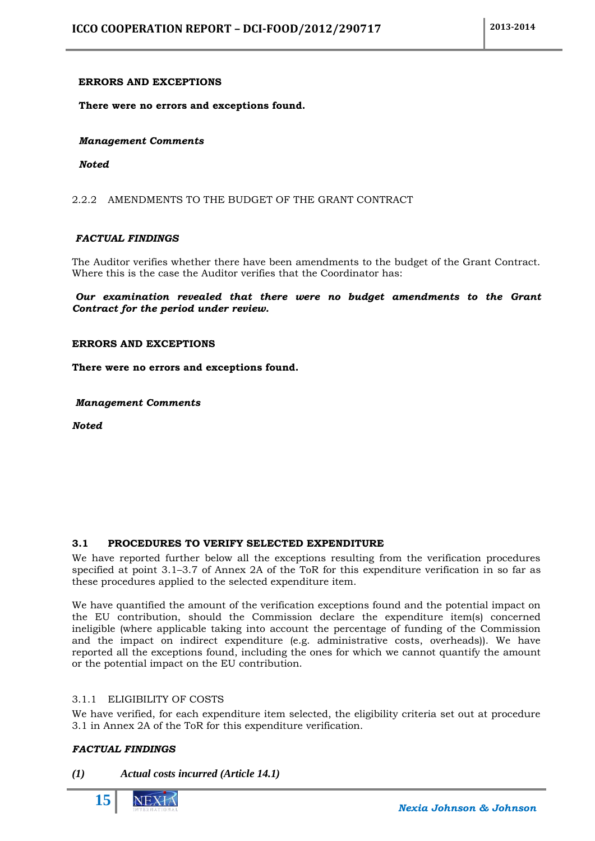## **ERRORS AND EXCEPTIONS**

 **There were no errors and exceptions found.**

 *Management Comments*

*Noted*

<span id="page-14-0"></span>2.2.2 AMENDMENTS TO THE BUDGET OF THE GRANT CONTRACT

## *FACTUAL FINDINGS*

The Auditor verifies whether there have been amendments to the budget of the Grant Contract. Where this is the case the Auditor verifies that the Coordinator has:

*Our examination revealed that there were no budget amendments to the Grant Contract for the period under review.*

## **ERRORS AND EXCEPTIONS**

**There were no errors and exceptions found.**

*Management Comments*

*Noted*

## <span id="page-14-1"></span>**3.1 PROCEDURES TO VERIFY SELECTED EXPENDITURE**

We have reported further below all the exceptions resulting from the verification procedures specified at point 3.1–3.7 of Annex 2A of the ToR for this expenditure verification in so far as these procedures applied to the selected expenditure item.

We have quantified the amount of the verification exceptions found and the potential impact on the EU contribution, should the Commission declare the expenditure item(s) concerned ineligible (where applicable taking into account the percentage of funding of the Commission and the impact on indirect expenditure (e.g. administrative costs, overheads)). We have reported all the exceptions found, including the ones for which we cannot quantify the amount or the potential impact on the EU contribution.

## <span id="page-14-2"></span>3.1.1 ELIGIBILITY OF COSTS

We have verified, for each expenditure item selected, the eligibility criteria set out at procedure 3.1 in Annex 2A of the ToR for this expenditure verification.

## *FACTUAL FINDINGS*

## *(1) Actual costs incurred (Article 14.1)*

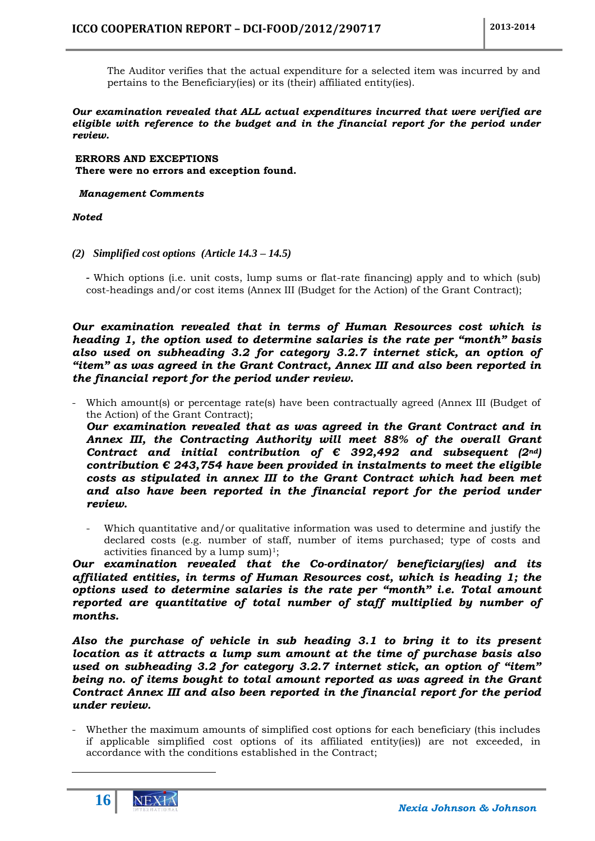The Auditor verifies that the actual expenditure for a selected item was incurred by and pertains to the Beneficiary(ies) or its (their) affiliated entity(ies).

## *Our examination revealed that ALL actual expenditures incurred that were verified are eligible with reference to the budget and in the financial report for the period under review.*

**ERRORS AND EXCEPTIONS There were no errors and exception found.**

## *Management Comments*

## *Noted*

## *(2) Simplified cost options (Article 14.3 – 14.5)*

*-* Which options (i.e. unit costs, lump sums or flat-rate financing) apply and to which (sub) cost-headings and/or cost items (Annex III (Budget for the Action) of the Grant Contract);

*Our examination revealed that in terms of Human Resources cost which is heading 1, the option used to determine salaries is the rate per "month" basis also used on subheading 3.2 for category 3.2.7 internet stick, an option of "item" as was agreed in the Grant Contract, Annex III and also been reported in the financial report for the period under review.*

Which amount(s) or percentage rate(s) have been contractually agreed (Annex III (Budget of the Action) of the Grant Contract);

*Our examination revealed that as was agreed in the Grant Contract and in Annex III, the Contracting Authority will meet 88% of the overall Grant Contract and initial contribution of*  $\epsilon$  *392,492 and subsequent (2<sup><i>nd*</sup>)</sub> *contribution € 243,754 have been provided in instalments to meet the eligible costs as stipulated in annex III to the Grant Contract which had been met and also have been reported in the financial report for the period under review.*

Which quantitative and/or qualitative information was used to determine and justify the declared costs (e.g. number of staff, number of items purchased; type of costs and activities financed by a lump sum $]$ <sup>1</sup>;

*Our examination revealed that the Co-ordinator/ beneficiary(ies) and its affiliated entities, in terms of Human Resources cost, which is heading 1; the options used to determine salaries is the rate per "month" i.e. Total amount reported are quantitative of total number of staff multiplied by number of months.*

*Also the purchase of vehicle in sub heading 3.1 to bring it to its present location as it attracts a lump sum amount at the time of purchase basis also used on subheading 3.2 for category 3.2.7 internet stick, an option of "item" being no. of items bought to total amount reported as was agreed in the Grant Contract Annex III and also been reported in the financial report for the period under review.*

Whether the maximum amounts of simplified cost options for each beneficiary (this includes if applicable simplified cost options of its affiliated entity(ies)) are not exceeded, in accordance with the conditions established in the Contract;



1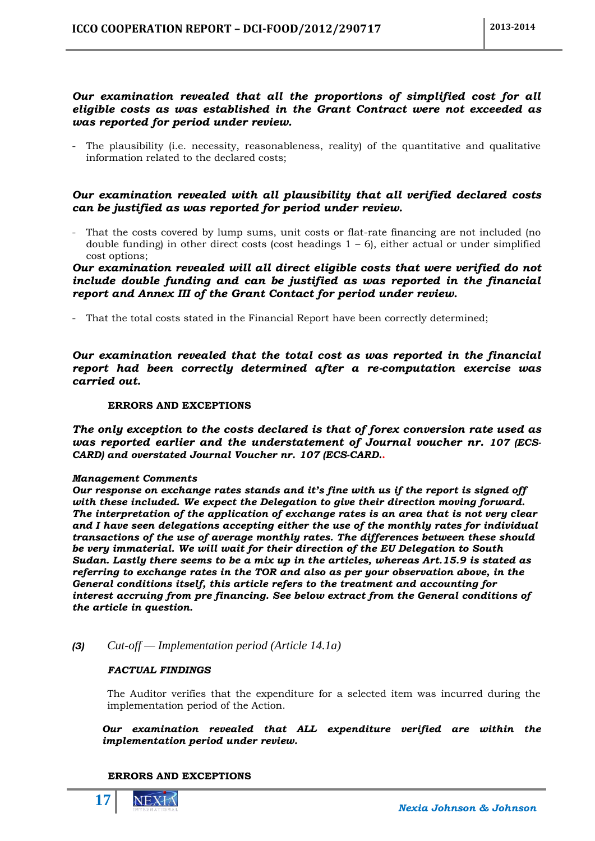## *Our examination revealed that all the proportions of simplified cost for all eligible costs as was established in the Grant Contract were not exceeded as was reported for period under review.*

- The plausibility (i.e. necessity, reasonableness, reality) of the quantitative and qualitative information related to the declared costs;

## *Our examination revealed with all plausibility that all verified declared costs can be justified as was reported for period under review.*

- That the costs covered by lump sums, unit costs or flat-rate financing are not included (no double funding) in other direct costs (cost headings  $1 - 6$ ), either actual or under simplified cost options;

## *Our examination revealed will all direct eligible costs that were verified do not include double funding and can be justified as was reported in the financial report and Annex III of the Grant Contact for period under review.*

- That the total costs stated in the Financial Report have been correctly determined;

*Our examination revealed that the total cost as was reported in the financial report had been correctly determined after a re-computation exercise was carried out.*

## **ERRORS AND EXCEPTIONS**

*The only exception to the costs declared is that of forex conversion rate used as was reported earlier and the understatement of Journal voucher nr. 107 (ECS-CARD) and overstated Journal Voucher nr. 107 (ECS-CARD.***.**

## *Management Comments*

*Our response on exchange rates stands and it's fine with us if the report is signed off with these included. We expect the Delegation to give their direction moving forward. The interpretation of the application of exchange rates is an area that is not very clear and I have seen delegations accepting either the use of the monthly rates for individual transactions of the use of average monthly rates. The differences between these should be very immaterial. We will wait for their direction of the EU Delegation to South Sudan. Lastly there seems to be a mix up in the articles, whereas Art.15.9 is stated as referring to exchange rates in the TOR and also as per your observation above, in the General conditions itself, this article refers to the treatment and accounting for interest accruing from pre financing. See below extract from the General conditions of the article in question.*

*(3) Cut-off — Implementation period (Article 14.1a)*

## *FACTUAL FINDINGS*

The Auditor verifies that the expenditure for a selected item was incurred during the implementation period of the Action.

*Our examination revealed that ALL expenditure verified are within the implementation period under review.*

## **ERRORS AND EXCEPTIONS**

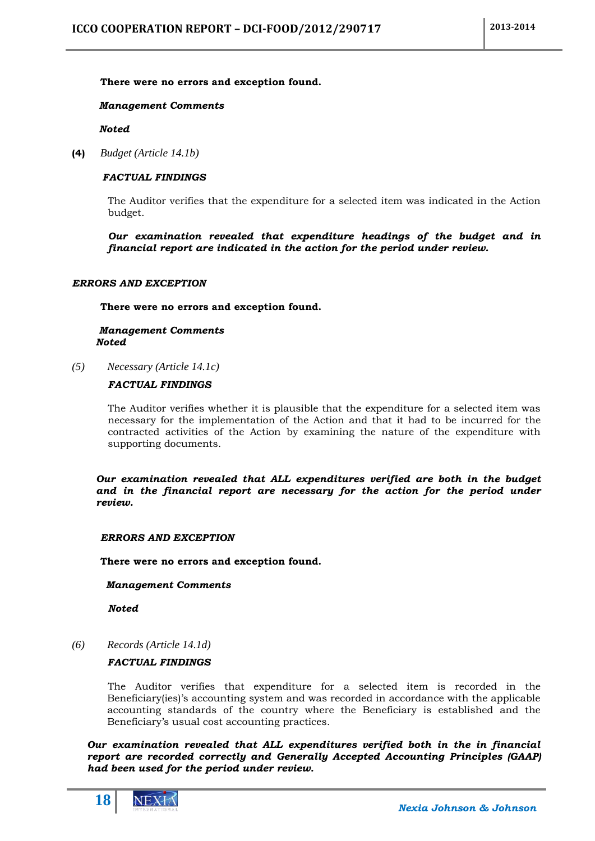## **There were no errors and exception found.**

## *Management Comments*

 *Noted*

**(4)** *Budget (Article 14.1b)*

## *FACTUAL FINDINGS*

The Auditor verifies that the expenditure for a selected item was indicated in the Action budget.

*Our examination revealed that expenditure headings of the budget and in financial report are indicated in the action for the period under review.*

## *ERRORS AND EXCEPTION*

**There were no errors and exception found.**

## *Management Comments Noted*

*(5) Necessary (Article 14.1c)*

## *FACTUAL FINDINGS*

The Auditor verifies whether it is plausible that the expenditure for a selected item was necessary for the implementation of the Action and that it had to be incurred for the contracted activities of the Action by examining the nature of the expenditure with supporting documents.

*Our examination revealed that ALL expenditures verified are both in the budget and in the financial report are necessary for the action for the period under review.*

## *ERRORS AND EXCEPTION*

**There were no errors and exception found.**

## *Management Comments*

*Noted*

*(6) Records (Article 14.1d)*

## *FACTUAL FINDINGS*

The Auditor verifies that expenditure for a selected item is recorded in the Beneficiary(ies)'s accounting system and was recorded in accordance with the applicable accounting standards of the country where the Beneficiary is established and the Beneficiary's usual cost accounting practices.

*Our examination revealed that ALL expenditures verified both in the in financial report are recorded correctly and Generally Accepted Accounting Principles (GAAP) had been used for the period under review.*

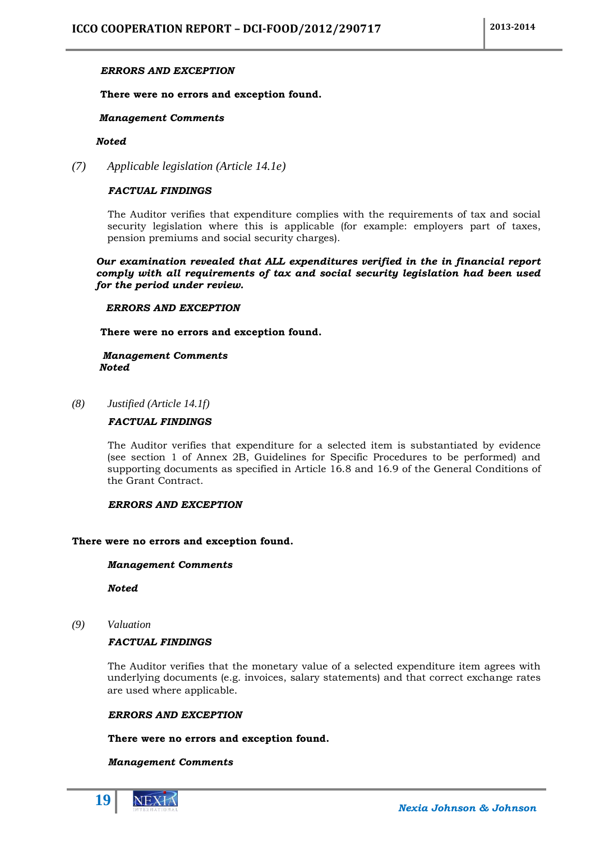## *ERRORS AND EXCEPTION*

## **There were no errors and exception found.**

## *Management Comments*

## *Noted*

*(7) Applicable legislation (Article 14.1e)*

## *FACTUAL FINDINGS*

The Auditor verifies that expenditure complies with the requirements of tax and social security legislation where this is applicable (for example: employers part of taxes, pension premiums and social security charges).

*Our examination revealed that ALL expenditures verified in the in financial report comply with all requirements of tax and social security legislation had been used for the period under review.*

## *ERRORS AND EXCEPTION*

**There were no errors and exception found.**

## *Management Comments Noted*

*(8) Justified (Article 14.1f)*

## *FACTUAL FINDINGS*

The Auditor verifies that expenditure for a selected item is substantiated by evidence (see section 1 of Annex 2B, Guidelines for Specific Procedures to be performed) and supporting documents as specified in Article 16.8 and 16.9 of the General Conditions of the Grant Contract.

## *ERRORS AND EXCEPTION*

## **There were no errors and exception found.**

## *Management Comments*

*Noted*

*(9) Valuation*

## *FACTUAL FINDINGS*

The Auditor verifies that the monetary value of a selected expenditure item agrees with underlying documents (e.g. invoices, salary statements) and that correct exchange rates are used where applicable.

## *ERRORS AND EXCEPTION*

## **There were no errors and exception found.**

## *Management Comments*

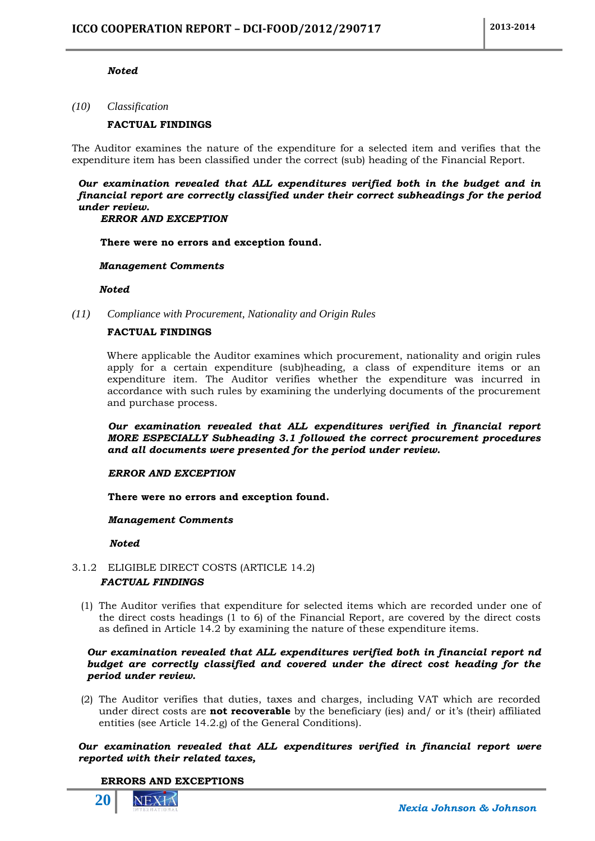## *Noted*

*(10) Classification*

## **FACTUAL FINDINGS**

The Auditor examines the nature of the expenditure for a selected item and verifies that the expenditure item has been classified under the correct (sub) heading of the Financial Report.

*Our examination revealed that ALL expenditures verified both in the budget and in financial report are correctly classified under their correct subheadings for the period under review.*

## *ERROR AND EXCEPTION*

**There were no errors and exception found.**

## *Management Comments*

 *Noted*

*(11) Compliance with Procurement, Nationality and Origin Rules*

## **FACTUAL FINDINGS**

Where applicable the Auditor examines which procurement, nationality and origin rules apply for a certain expenditure (sub)heading, a class of expenditure items or an expenditure item. The Auditor verifies whether the expenditure was incurred in accordance with such rules by examining the underlying documents of the procurement and purchase process.

*Our examination revealed that ALL expenditures verified in financial report MORE ESPECIALLY Subheading 3.1 followed the correct procurement procedures and all documents were presented for the period under review.*

## *ERROR AND EXCEPTION*

**There were no errors and exception found.**

## *Management Comments*

 *Noted*

## <span id="page-19-0"></span>3.1.2 ELIGIBLE DIRECT COSTS (ARTICLE 14.2) *FACTUAL FINDINGS*

(1) The Auditor verifies that expenditure for selected items which are recorded under one of the direct costs headings  $(1 \text{ to } 6)$  of the Financial Report, are covered by the direct costs as defined in Article 14.2 by examining the nature of these expenditure items.

## *Our examination revealed that ALL expenditures verified both in financial report nd budget are correctly classified and covered under the direct cost heading for the period under review.*

(2) The Auditor verifies that duties, taxes and charges, including VAT which are recorded under direct costs are **not recoverable** by the beneficiary (ies) and/ or it's (their) affiliated entities (see Article 14.2.g) of the General Conditions).

## *Our examination revealed that ALL expenditures verified in financial report were reported with their related taxes,*

## **ERRORS AND EXCEPTIONS**

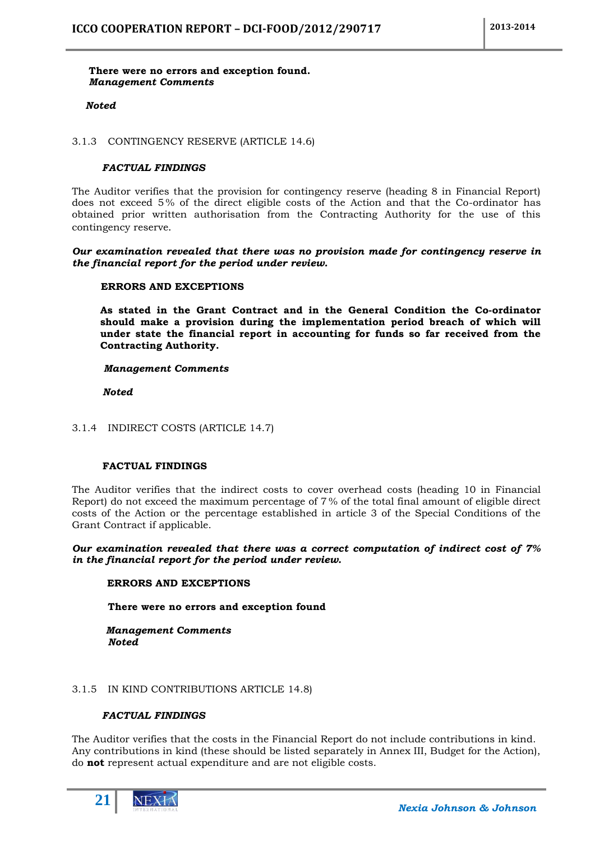## **There were no errors and exception found.**  *Management Comments*

## *Noted*

<span id="page-20-0"></span>3.1.3 CONTINGENCY RESERVE (ARTICLE 14.6)

## *FACTUAL FINDINGS*

The Auditor verifies that the provision for contingency reserve (heading 8 in Financial Report) does not exceed 5 % of the direct eligible costs of the Action and that the Co-ordinator has obtained prior written authorisation from the Contracting Authority for the use of this contingency reserve.

## *Our examination revealed that there was no provision made for contingency reserve in the financial report for the period under review.*

## **ERRORS AND EXCEPTIONS**

**As stated in the Grant Contract and in the General Condition the Co-ordinator should make a provision during the implementation period breach of which will under state the financial report in accounting for funds so far received from the Contracting Authority.**

## *Management Comments*

 *Noted*

## <span id="page-20-1"></span>3.1.4 INDIRECT COSTS (ARTICLE 14.7)

## **FACTUAL FINDINGS**

The Auditor verifies that the indirect costs to cover overhead costs (heading 10 in Financial Report) do not exceed the maximum percentage of 7 % of the total final amount of eligible direct costs of the Action or the percentage established in article 3 of the Special Conditions of the Grant Contract if applicable.

## *Our examination revealed that there was a correct computation of indirect cost of 7% in the financial report for the period under review.*

## **ERRORS AND EXCEPTIONS**

**There were no errors and exception found**

## *Management Comments Noted*

## <span id="page-20-2"></span>3.1.5 IN KIND CONTRIBUTIONS ARTICLE 14.8)

## *FACTUAL FINDINGS*

The Auditor verifies that the costs in the Financial Report do not include contributions in kind. Any contributions in kind (these should be listed separately in Annex III, Budget for the Action), do **not** represent actual expenditure and are not eligible costs.

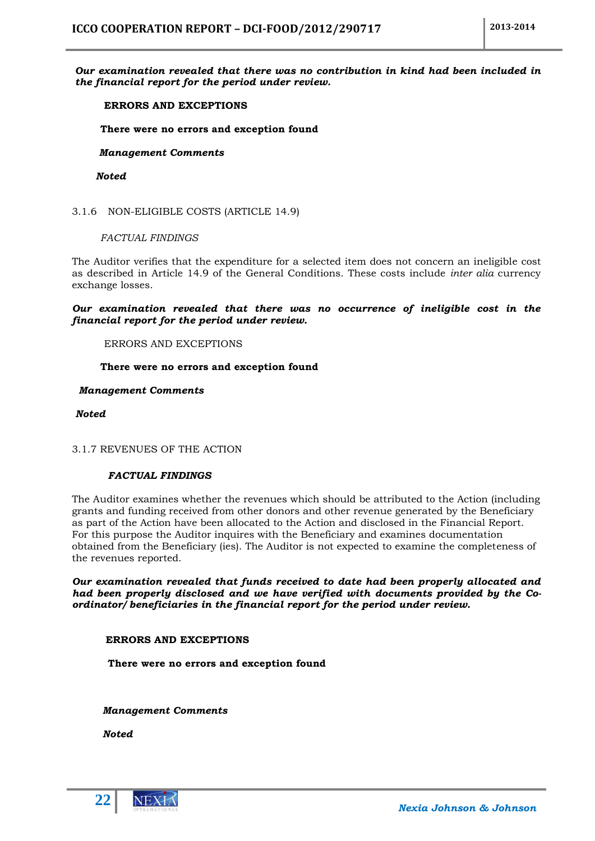## *Our examination revealed that there was no contribution in kind had been included in the financial report for the period under review.*

## **ERRORS AND EXCEPTIONS**

**There were no errors and exception found**

## *Management Comments*

 *Noted*

<span id="page-21-0"></span>3.1.6 NON-ELIGIBLE COSTS (ARTICLE 14.9)

*FACTUAL FINDINGS*

The Auditor verifies that the expenditure for a selected item does not concern an ineligible cost as described in Article 14.9 of the General Conditions. These costs include *inter alia* currency exchange losses.

*Our examination revealed that there was no occurrence of ineligible cost in the financial report for the period under review.*

ERRORS AND EXCEPTIONS

## **There were no errors and exception found**

## *Management Comments*

*Noted*

<span id="page-21-1"></span>3.1.7 REVENUES OF THE ACTION

## *FACTUAL FINDINGS*

The Auditor examines whether the revenues which should be attributed to the Action (including grants and funding received from other donors and other revenue generated by the Beneficiary as part of the Action have been allocated to the Action and disclosed in the Financial Report. For this purpose the Auditor inquires with the Beneficiary and examines documentation obtained from the Beneficiary (ies). The Auditor is not expected to examine the completeness of the revenues reported.

*Our examination revealed that funds received to date had been properly allocated and had been properly disclosed and we have verified with documents provided by the Coordinator/ beneficiaries in the financial report for the period under review.*

## **ERRORS AND EXCEPTIONS**

**There were no errors and exception found**

 *Management Comments*

 *Noted*



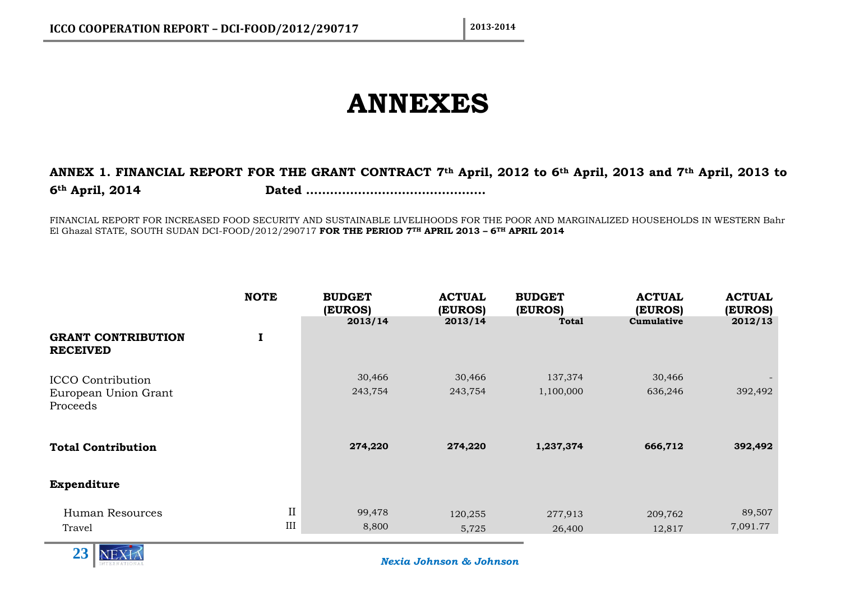# **ANNEXES**

## **ANNEX 1. FINANCIAL REPORT FOR THE GRANT CONTRACT 7th April, 2012 to 6th April, 2013 and 7th April, 2013 to 6th April, 2014 Dated ………………………………………**

FINANCIAL REPORT FOR INCREASED FOOD SECURITY AND SUSTAINABLE LIVELIHOODS FOR THE POOR AND MARGINALIZED HOUSEHOLDS IN WESTERN Bahr El Ghazal STATE, SOUTH SUDAN DCI-FOOD/2012/290717 **FOR THE PERIOD 7TH APRIL 2013 – 6TH APRIL 2014**

<span id="page-22-1"></span><span id="page-22-0"></span>

|                                                              | <b>NOTE</b>           | <b>BUDGET</b><br>(EUROS) | <b>ACTUAL</b><br>(EUROS) | <b>BUDGET</b><br>(EUROS) | <b>ACTUAL</b><br>(EUROS) | <b>ACTUAL</b><br>(EUROS) |
|--------------------------------------------------------------|-----------------------|--------------------------|--------------------------|--------------------------|--------------------------|--------------------------|
| <b>GRANT CONTRIBUTION</b><br><b>RECEIVED</b>                 | 1                     | 2013/14                  | 2013/14                  | <b>Total</b>             | Cumulative               | 2012/13                  |
| <b>ICCO</b> Contribution<br>European Union Grant<br>Proceeds |                       | 30,466<br>243,754        | 30,466<br>243,754        | 137,374<br>1,100,000     | 30,466<br>636,246        | 392,492                  |
| <b>Total Contribution</b>                                    |                       | 274,220                  | 274,220                  | 1,237,374                | 666,712                  | 392,492                  |
| Expenditure                                                  |                       |                          |                          |                          |                          |                          |
| Human Resources<br>Travel                                    | $\rm II$<br>$\rm III$ | 99,478<br>8,800          | 120,255<br>5,725         | 277,913<br>26,400        | 209,762<br>12,817        | 89,507<br>7,091.77       |

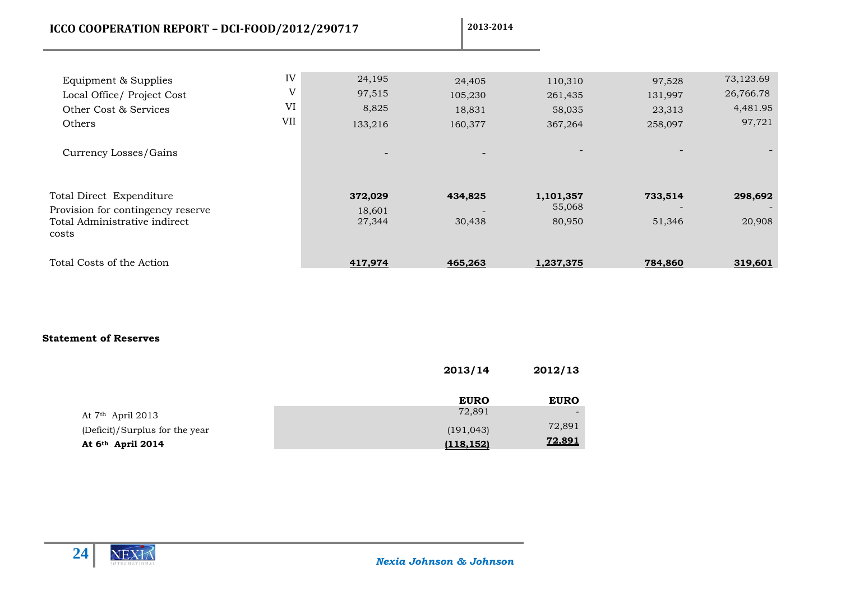| ICCO COOPERATION REPORT - DCI-FOOD/2012/290717                                                                 |                      |                                                                  | 2013-2014                              |                                         |                                        |                                              |
|----------------------------------------------------------------------------------------------------------------|----------------------|------------------------------------------------------------------|----------------------------------------|-----------------------------------------|----------------------------------------|----------------------------------------------|
| Equipment & Supplies<br>Local Office/ Project Cost<br>Other Cost & Services<br>Others<br>Currency Losses/Gains | IV<br>V<br>VI<br>VII | 24,195<br>97,515<br>8,825<br>133,216<br>$\overline{\phantom{a}}$ | 24,405<br>105,230<br>18,831<br>160,377 | 110,310<br>261,435<br>58,035<br>367,264 | 97,528<br>131,997<br>23,313<br>258,097 | 73,123.69<br>26,766.78<br>4,481.95<br>97,721 |
| Total Direct Expenditure<br>Provision for contingency reserve<br>Total Administrative indirect<br>costs        |                      | 372,029<br>18,601<br>27,344                                      | 434,825<br>30,438                      | 1,101,357<br>55,068<br>80,950           | 733,514<br>51,346                      | 298,692<br>20,908                            |
| Total Costs of the Action                                                                                      |                      | 417,974                                                          | 465,263                                | 1,237,375                               | 784,860                                | 319,601                                      |

## **Statement of Reserves**

|                                | 2013/14     | 2012/13       |
|--------------------------------|-------------|---------------|
|                                | <b>EURO</b> | <b>EURO</b>   |
| At $7th$ April 2013            | 72,891      |               |
| (Deficit)/Surplus for the year | (191, 043)  | 72,891        |
| At 6 <sup>th</sup> April 2014  | (118, 152)  | <u>72,891</u> |

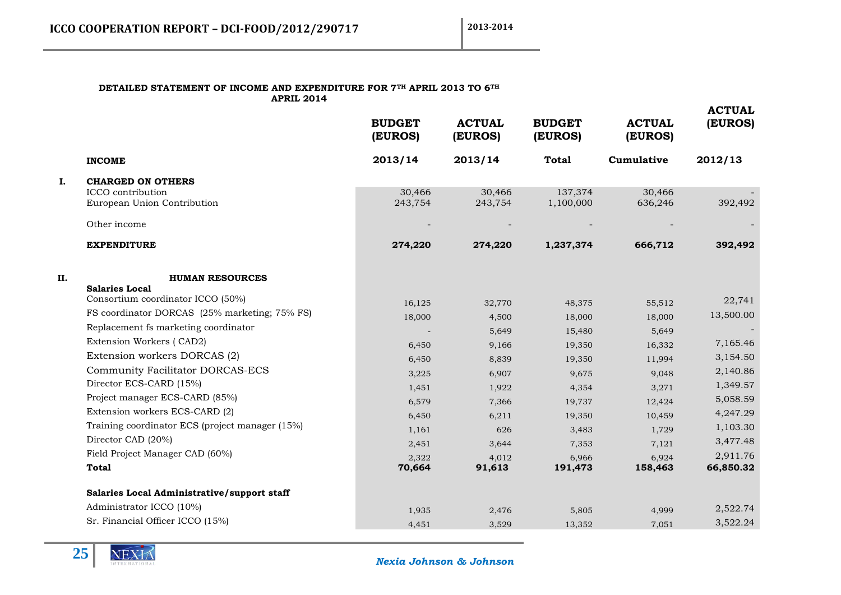#### **DETAILED STATEMENT OF INCOME AND EXPENDITURE FOR 7TH APRIL 2013 TO 6TH APRIL 2014**

|    |                                                            | <b>BUDGET</b><br>(EUROS) | <b>ACTUAL</b><br>(EUROS) | <b>BUDGET</b><br>(EUROS) | <b>ACTUAL</b><br>(EUROS) | <b>ACTUAL</b><br>(EUROS) |
|----|------------------------------------------------------------|--------------------------|--------------------------|--------------------------|--------------------------|--------------------------|
|    | <b>INCOME</b>                                              | 2013/14                  | 2013/14                  | <b>Total</b>             | Cumulative               | 2012/13                  |
| I. | <b>CHARGED ON OTHERS</b>                                   |                          |                          |                          |                          |                          |
|    | ICCO contribution<br>European Union Contribution           | 30,466<br>243,754        | 30,466<br>243,754        | 137,374<br>1,100,000     | 30,466<br>636,246        | 392,492                  |
|    | Other income                                               |                          |                          |                          |                          |                          |
|    | <b>EXPENDITURE</b>                                         | 274,220                  | 274,220                  | 1,237,374                | 666,712                  | 392,492                  |
| П. | <b>HUMAN RESOURCES</b>                                     |                          |                          |                          |                          |                          |
|    | <b>Salaries Local</b><br>Consortium coordinator ICCO (50%) | 16,125                   | 32,770                   | 48,375                   | 55,512                   | 22,741                   |
|    | FS coordinator DORCAS (25% marketing; 75% FS)              | 18,000                   | 4,500                    | 18,000                   | 18,000                   | 13,500.00                |
|    | Replacement fs marketing coordinator                       |                          | 5,649                    | 15,480                   | 5,649                    |                          |
|    | Extension Workers (CAD2)                                   | 6,450                    | 9,166                    | 19,350                   | 16,332                   | 7,165.46                 |
|    | Extension workers DORCAS (2)                               | 6,450                    | 8,839                    | 19,350                   | 11,994                   | 3,154.50                 |
|    | <b>Community Facilitator DORCAS-ECS</b>                    | 3,225                    | 6,907                    | 9,675                    | 9,048                    | 2,140.86                 |
|    | Director ECS-CARD (15%)                                    | 1,451                    | 1,922                    | 4,354                    | 3,271                    | 1,349.57                 |
|    | Project manager ECS-CARD (85%)                             | 6,579                    | 7,366                    | 19,737                   | 12,424                   | 5,058.59                 |
|    | Extension workers ECS-CARD (2)                             | 6,450                    | 6,211                    | 19,350                   | 10,459                   | 4,247.29                 |
|    | Training coordinator ECS (project manager (15%)            | 1,161                    | 626                      | 3,483                    | 1,729                    | 1,103.30                 |
|    | Director CAD (20%)                                         | 2,451                    | 3,644                    | 7,353                    | 7,121                    | 3,477.48                 |
|    | Field Project Manager CAD (60%)                            | 2,322                    | 4,012                    | 6,966                    | 6,924                    | 2,911.76                 |
|    | Total                                                      | 70,664                   | 91,613                   | 191,473                  | 158,463                  | 66,850.32                |
|    | Salaries Local Administrative/support staff                |                          |                          |                          |                          |                          |
|    | Administrator ICCO (10%)                                   | 1,935                    | 2,476                    | 5,805                    | 4,999                    | 2,522.74                 |
|    | Sr. Financial Officer ICCO (15%)                           | 4,451                    | 3,529                    | 13,352                   | 7,051                    | 3,522.24                 |
|    |                                                            |                          |                          |                          |                          |                          |

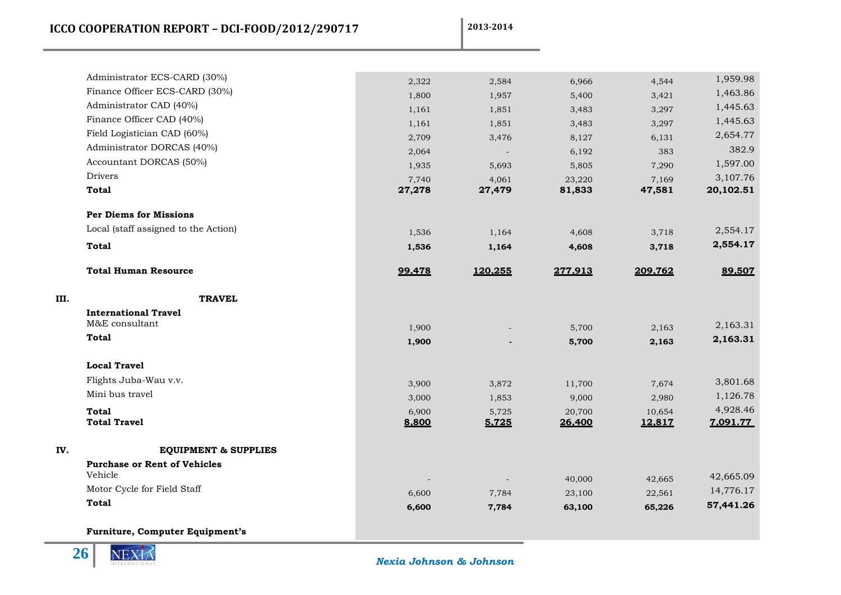**ICCO COOPERATION REPORT – DCI-FOOD/2012/290717** 2013-2014

|     | Administrator ECS-CARD (30%)                   | 2,322  | 2,584   | 6,966   | 4,544   | 1,959.98               |
|-----|------------------------------------------------|--------|---------|---------|---------|------------------------|
|     | Finance Officer ECS-CARD (30%)                 | 1,800  | 1,957   | 5,400   | 3,421   | 1,463.86               |
|     | Administrator CAD (40%)                        | 1,161  | 1,851   | 3,483   | 3,297   | 1,445.63               |
|     | Finance Officer CAD (40%)                      | 1,161  | 1,851   | 3,483   | 3,297   | 1,445.63               |
|     | Field Logistician CAD (60%)                    | 2,709  | 3,476   | 8,127   | 6,131   | 2,654.77               |
|     | Administrator DORCAS (40%)                     | 2,064  |         | 6,192   | 383     | 382.9                  |
|     | Accountant DORCAS (50%)                        | 1,935  | 5,693   | 5,805   | 7,290   | 1,597.00               |
|     | <b>Drivers</b>                                 | 7,740  | 4,061   | 23,220  | 7,169   | 3,107.76               |
|     | <b>Total</b>                                   | 27,278 | 27,479  | 81,833  | 47,581  | 20,102.51              |
|     | <b>Per Diems for Missions</b>                  |        |         |         |         |                        |
|     | Local (staff assigned to the Action)           | 1,536  | 1,164   | 4,608   | 3,718   | 2,554.17               |
|     | <b>Total</b>                                   | 1,536  | 1,164   | 4,608   | 3,718   | 2,554.17               |
|     | <b>Total Human Resource</b>                    | 99.478 | 120.255 | 277.913 | 209.762 | 89.507                 |
| Ш.  | <b>TRAVEL</b>                                  |        |         |         |         |                        |
|     | <b>International Travel</b>                    |        |         |         |         |                        |
|     | M&E consultant                                 | 1,900  |         | 5,700   | 2,163   | 2,163.31               |
|     | <b>Total</b>                                   | 1,900  |         | 5,700   | 2,163   | 2,163.31               |
|     | <b>Local Travel</b>                            |        |         |         |         |                        |
|     | Flights Juba-Wau v.v.                          | 3,900  | 3,872   | 11,700  | 7,674   | 3,801.68               |
|     | Mini bus travel                                | 3,000  | 1,853   | 9,000   | 2,980   | 1,126.78               |
|     | Total                                          | 6,900  | 5,725   | 20,700  | 10,654  | 4,928.46               |
|     | <b>Total Travel</b>                            | 8.800  | 5.725   | 26.400  | 12.817  | 7.091.77               |
| IV. | <b>EQUIPMENT &amp; SUPPLIES</b>                |        |         |         |         |                        |
|     | <b>Purchase or Rent of Vehicles</b><br>Vehicle |        |         |         |         |                        |
|     | Motor Cycle for Field Staff                    |        |         | 40,000  | 42,665  | 42,665.09<br>14,776.17 |
|     | <b>Total</b>                                   | 6,600  | 7,784   | 23,100  | 22,561  | 57,441.26              |
|     |                                                | 6,600  | 7,784   | 63,100  | 65,226  |                        |
|     | <b>Furniture, Computer Equipment's</b>         |        |         |         |         |                        |

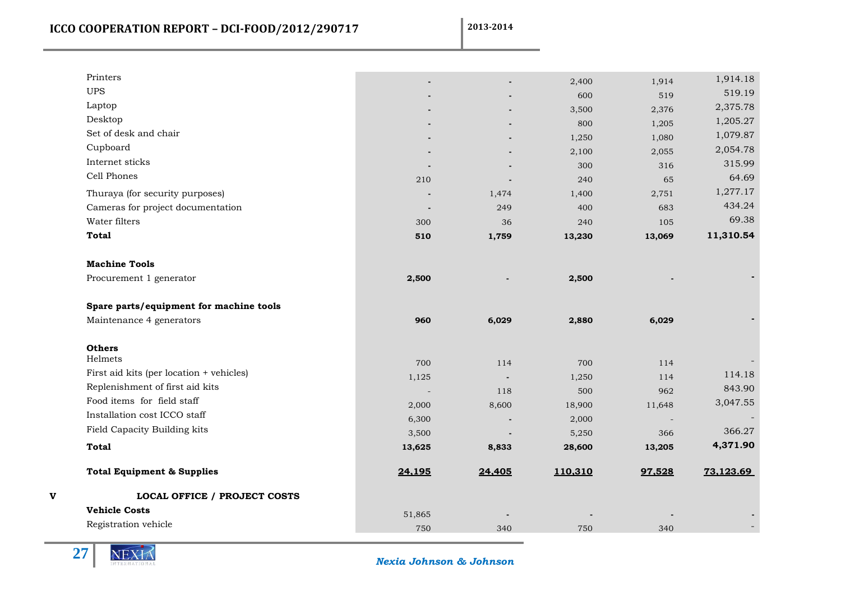**ICCO COOPERATION REPORT - DCI-FOOD/2012/290717** 2013-2014

| Printers      |                                          |        |        | 2,400   | 1,914                    | 1,914.18  |
|---------------|------------------------------------------|--------|--------|---------|--------------------------|-----------|
| <b>UPS</b>    |                                          |        |        | 600     | 519                      | 519.19    |
| Laptop        |                                          |        |        | 3,500   | 2,376                    | 2,375.78  |
| Desktop       |                                          |        |        | 800     | 1,205                    | 1,205.27  |
|               | Set of desk and chair                    |        |        | 1,250   | 1,080                    | 1,079.87  |
| Cupboard      |                                          |        |        | 2,100   | 2,055                    | 2,054.78  |
|               | Internet sticks                          |        |        | 300     | 316                      | 315.99    |
|               | Cell Phones                              | 210    |        | 240     | 65                       | 64.69     |
|               | Thuraya (for security purposes)          |        | 1,474  | 1,400   | 2,751                    | 1,277.17  |
|               | Cameras for project documentation        |        | 249    | 400     | 683                      | 434.24    |
|               | Water filters                            | 300    | 36     | 240     | 105                      | 69.38     |
| <b>Total</b>  |                                          | 510    | 1,759  | 13,230  | 13,069                   | 11,310.54 |
|               | <b>Machine Tools</b>                     |        |        |         |                          |           |
|               | Procurement 1 generator                  | 2,500  |        | 2,500   |                          |           |
|               | Spare parts/equipment for machine tools  |        |        |         |                          |           |
|               | Maintenance 4 generators                 | 960    | 6,029  | 2,880   | 6,029                    |           |
| <b>Others</b> |                                          |        |        |         |                          |           |
| Helmets       |                                          | 700    | 114    | 700     | 114                      |           |
|               | First aid kits (per location + vehicles) | 1,125  |        | 1,250   | 114                      | 114.18    |
|               | Replenishment of first aid kits          |        | 118    | 500     | 962                      | 843.90    |
|               | Food items for field staff               | 2,000  | 8,600  | 18,900  | 11,648                   | 3,047.55  |
|               | Installation cost ICCO staff             | 6,300  |        | 2,000   | $\overline{\phantom{a}}$ |           |
|               | Field Capacity Building kits             | 3,500  |        | 5,250   | 366                      | 366.27    |
| <b>Total</b>  |                                          | 13,625 | 8,833  | 28,600  | 13,205                   | 4,371.90  |
|               | <b>Total Equipment &amp; Supplies</b>    | 24,195 | 24,405 | 110,310 | 97,528                   | 73,123.69 |
|               | <b>LOCAL OFFICE / PROJECT COSTS</b>      |        |        |         |                          |           |
|               | <b>Vehicle Costs</b>                     | 51,865 |        |         |                          |           |
|               | Registration vehicle                     | 750    | 340    | 750     | 340                      |           |
|               |                                          |        |        |         |                          |           |



 *Nexia Johnson & Johnson*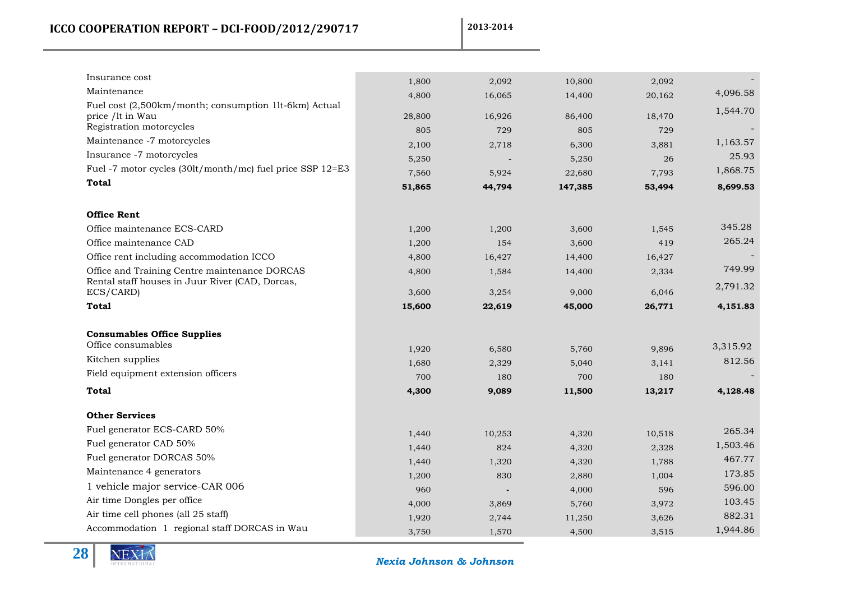| Insurance cost                                            | 1,800  | 2,092  | 10,800  | 2,092  |          |
|-----------------------------------------------------------|--------|--------|---------|--------|----------|
| Maintenance                                               | 4,800  | 16,065 | 14,400  | 20,162 | 4,096.58 |
| Fuel cost (2,500km/month; consumption 1lt-6km) Actual     |        |        |         |        | 1,544.70 |
| price /lt in Wau<br>Registration motorcycles              | 28,800 | 16,926 | 86,400  | 18,470 |          |
| Maintenance -7 motorcycles                                | 805    | 729    | 805     | 729    | 1,163.57 |
| Insurance -7 motorcycles                                  | 2,100  | 2,718  | 6,300   | 3,881  |          |
| Fuel -7 motor cycles (30lt/month/mc) fuel price SSP 12=E3 | 5,250  |        | 5,250   | 26     | 25.93    |
| <b>Total</b>                                              | 7,560  | 5,924  | 22,680  | 7,793  | 1,868.75 |
|                                                           | 51,865 | 44,794 | 147,385 | 53,494 | 8,699.53 |
| <b>Office Rent</b>                                        |        |        |         |        |          |
| Office maintenance ECS-CARD                               | 1,200  | 1,200  | 3,600   | 1,545  | 345.28   |
| Office maintenance CAD                                    | 1,200  | 154    | 3,600   | 419    | 265.24   |
| Office rent including accommodation ICCO                  | 4,800  | 16,427 | 14,400  | 16,427 |          |
| Office and Training Centre maintenance DORCAS             | 4,800  | 1,584  | 14,400  | 2,334  | 749.99   |
| Rental staff houses in Juur River (CAD, Dorcas,           |        |        |         |        | 2,791.32 |
| ECS/CARD)                                                 | 3,600  | 3,254  | 9,000   | 6,046  |          |
| <b>Total</b>                                              | 15,600 | 22,619 | 45,000  | 26,771 | 4,151.83 |
| <b>Consumables Office Supplies</b>                        |        |        |         |        |          |
| Office consumables                                        | 1,920  | 6,580  | 5,760   | 9,896  | 3,315.92 |
| Kitchen supplies                                          | 1,680  | 2,329  | 5,040   | 3,141  | 812.56   |
| Field equipment extension officers                        | 700    | 180    | 700     | 180    |          |
| Total                                                     | 4,300  | 9,089  | 11,500  | 13,217 | 4,128.48 |
| <b>Other Services</b>                                     |        |        |         |        |          |
| Fuel generator ECS-CARD 50%                               | 1,440  | 10,253 | 4,320   | 10,518 | 265.34   |
| Fuel generator CAD 50%                                    | 1,440  | 824    | 4,320   | 2,328  | 1,503.46 |
| Fuel generator DORCAS 50%                                 | 1,440  | 1,320  | 4,320   | 1,788  | 467.77   |
| Maintenance 4 generators                                  | 1,200  | 830    | 2,880   | 1,004  | 173.85   |
| 1 vehicle major service-CAR 006                           | 960    |        | 4,000   | 596    | 596.00   |
| Air time Dongles per office                               | 4,000  | 3,869  | 5,760   | 3,972  | 103.45   |
| Air time cell phones (all 25 staff)                       | 1,920  | 2,744  | 11,250  | 3,626  | 882.31   |
| Accommodation 1 regional staff DORCAS in Wau              | 3,750  | 1,570  | 4,500   | 3,515  | 1,944.86 |
|                                                           |        |        |         |        |          |

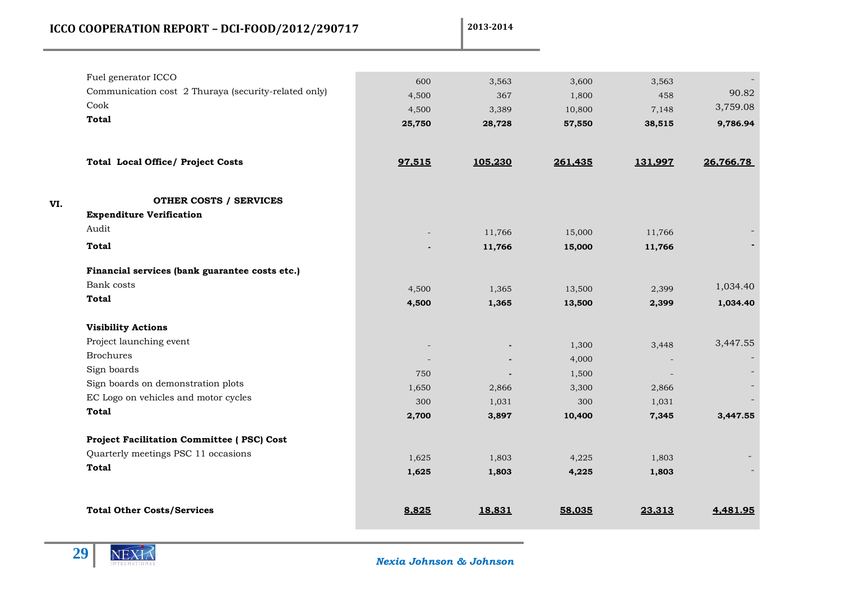| 2013-2014<br>ICCO COOPERATION REPORT - DCI-FOOD/2012/290717 |  |
|-------------------------------------------------------------|--|
|-------------------------------------------------------------|--|

| Fuel generator ICCO<br>Communication cost 2 Thuraya (security-related only) | 600    | 3,563   | 3,600   | 3,563   |           |
|-----------------------------------------------------------------------------|--------|---------|---------|---------|-----------|
| Cook                                                                        | 4,500  | 367     | 1,800   | 458     | 90.82     |
| <b>Total</b>                                                                | 4,500  | 3,389   | 10,800  | 7,148   | 3,759.08  |
|                                                                             | 25,750 | 28,728  | 57,550  | 38,515  | 9,786.94  |
| <b>Total Local Office/ Project Costs</b>                                    | 97,515 | 105,230 | 261,435 | 131,997 | 26,766.78 |
| <b>OTHER COSTS / SERVICES</b><br>VI.                                        |        |         |         |         |           |
| <b>Expenditure Verification</b>                                             |        |         |         |         |           |
| Audit                                                                       |        | 11,766  | 15,000  | 11,766  |           |
| <b>Total</b>                                                                |        | 11,766  | 15,000  | 11,766  |           |
| Financial services (bank guarantee costs etc.)                              |        |         |         |         |           |
| Bank costs                                                                  | 4,500  | 1,365   | 13,500  | 2,399   | 1,034.40  |
| <b>Total</b>                                                                | 4,500  | 1,365   | 13,500  | 2,399   | 1,034.40  |
| <b>Visibility Actions</b>                                                   |        |         |         |         |           |
| Project launching event                                                     |        |         | 1,300   | 3,448   | 3,447.55  |
| <b>Brochures</b>                                                            |        |         | 4,000   |         |           |
| Sign boards                                                                 | 750    |         | 1,500   |         |           |
| Sign boards on demonstration plots                                          | 1,650  | 2,866   | 3,300   | 2,866   |           |
| EC Logo on vehicles and motor cycles                                        | 300    | 1,031   | 300     | 1,031   |           |
| <b>Total</b>                                                                | 2,700  | 3,897   | 10,400  | 7,345   | 3,447.55  |
| Project Facilitation Committee (PSC) Cost                                   |        |         |         |         |           |
| Quarterly meetings PSC 11 occasions                                         | 1,625  | 1,803   | 4,225   | 1,803   |           |
| <b>Total</b>                                                                | 1,625  | 1,803   | 4,225   | 1,803   |           |
| <b>Total Other Costs/Services</b>                                           | 8.825  | 18.831  | 58.035  | 23.313  | 4.481.95  |



 *Nexia Johnson & Johnson*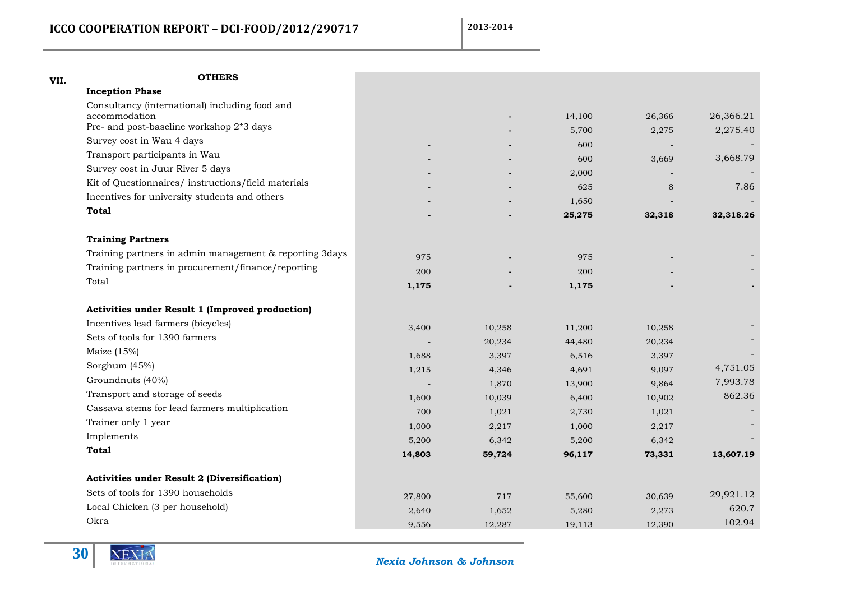| <b>OTHERS</b>                                           |                |        |                |                |           |
|---------------------------------------------------------|----------------|--------|----------------|----------------|-----------|
| <b>Inception Phase</b>                                  |                |        |                |                |           |
| Consultancy (international) including food and          |                |        |                |                |           |
| accommodation                                           |                |        | 14,100         | 26,366         | 26,366.21 |
| Pre- and post-baseline workshop 2*3 days                |                |        | 5,700          | 2,275          | 2,275.40  |
| Survey cost in Wau 4 days                               |                |        | 600            |                |           |
| Transport participants in Wau                           |                |        | 600            | 3,669          | 3,668.79  |
| Survey cost in Juur River 5 days                        |                |        | 2,000          |                |           |
| Kit of Questionnaires/ instructions/field materials     |                |        | 625            | 8              | 7.86      |
| Incentives for university students and others           |                |        | 1,650          |                |           |
| Total                                                   |                |        | 25,275         | 32,318         | 32,318.26 |
| <b>Training Partners</b>                                |                |        |                |                |           |
| Training partners in admin management & reporting 3days | 975            |        | 975            |                |           |
| Training partners in procurement/finance/reporting      | 200            |        | 200            |                |           |
| Total                                                   | 1,175          |        | 1,175          |                |           |
| Activities under Result 1 (Improved production)         |                |        |                |                |           |
| Incentives lead farmers (bicycles)                      | 3,400          | 10,258 | 11,200         | 10,258         |           |
| Sets of tools for 1390 farmers                          |                | 20,234 | 44,480         | 20,234         |           |
| Maize $(15%)$                                           | 1,688          | 3,397  | 6,516          | 3,397          |           |
| Sorghum (45%)                                           | 1,215          | 4,346  | 4,691          | 9,097          | 4,751.05  |
| Groundnuts (40%)                                        |                | 1,870  | 13,900         | 9,864          | 7,993.78  |
| Transport and storage of seeds                          | 1,600          | 10,039 | 6,400          | 10,902         | 862.36    |
| Cassava stems for lead farmers multiplication           | 700            | 1,021  | 2,730          | 1,021          |           |
| Trainer only 1 year                                     |                | 2,217  |                |                |           |
| Implements                                              | 1,000<br>5,200 | 6,342  | 1,000<br>5,200 | 2,217<br>6,342 |           |
| <b>Total</b>                                            | 14,803         | 59,724 | 96,117         | 73,331         | 13,607.19 |
|                                                         |                |        |                |                |           |
| <b>Activities under Result 2 (Diversification)</b>      |                |        |                |                |           |
| Sets of tools for 1390 households                       | 27,800         | 717    | 55,600         | 30,639         | 29,921.12 |
| Local Chicken (3 per household)                         | 2,640          | 1,652  | 5,280          | 2,273          | 620.7     |
| Okra                                                    | 9,556          | 12,287 | 19,113         | 12,390         | 102.94    |



 *Nexia Johnson & Johnson*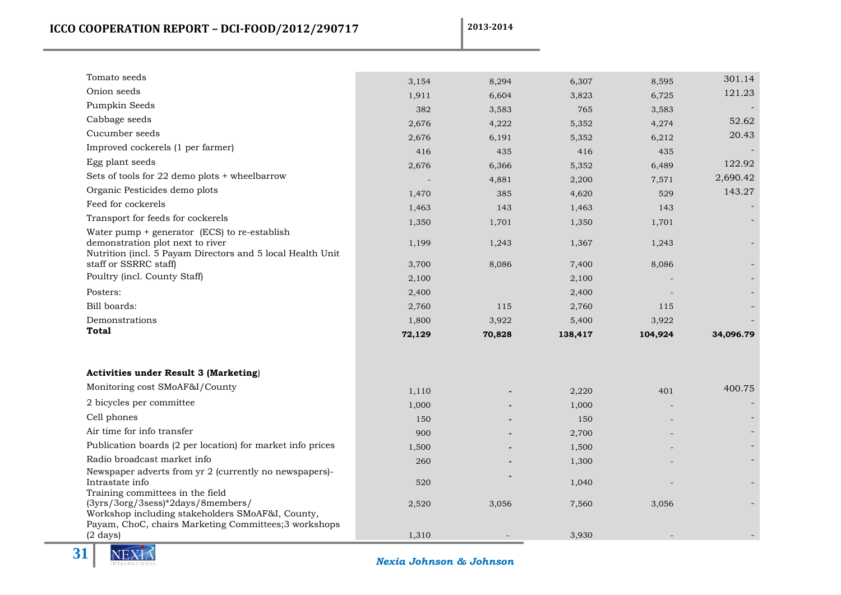| Tomato seeds                                                                                                                                  | 3,154  | 8,294  | 6,307   | 8,595   | 301.14    |
|-----------------------------------------------------------------------------------------------------------------------------------------------|--------|--------|---------|---------|-----------|
| Onion seeds                                                                                                                                   | 1,911  | 6,604  | 3,823   | 6,725   | 121.23    |
| Pumpkin Seeds                                                                                                                                 | 382    | 3,583  | 765     | 3,583   |           |
| Cabbage seeds                                                                                                                                 | 2,676  | 4,222  | 5,352   | 4,274   | 52.62     |
| Cucumber seeds                                                                                                                                | 2,676  | 6,191  | 5,352   | 6,212   | 20.43     |
| Improved cockerels (1 per farmer)                                                                                                             | 416    | 435    | 416     | 435     |           |
| Egg plant seeds                                                                                                                               | 2,676  | 6,366  | 5,352   | 6,489   | 122.92    |
| Sets of tools for 22 demo plots + wheelbarrow                                                                                                 |        | 4,881  | 2,200   | 7,571   | 2,690.42  |
| Organic Pesticides demo plots                                                                                                                 | 1,470  | 385    | 4,620   | 529     | 143.27    |
| Feed for cockerels                                                                                                                            | 1,463  | 143    | 1,463   | 143     |           |
| Transport for feeds for cockerels                                                                                                             | 1,350  | 1,701  | 1,350   | 1,701   |           |
| Water pump $+$ generator (ECS) to re-establish                                                                                                |        |        |         |         |           |
| demonstration plot next to river                                                                                                              | 1,199  | 1,243  | 1,367   | 1,243   |           |
| Nutrition (incl. 5 Payam Directors and 5 local Health Unit<br>staff or SSRRC staff)                                                           | 3,700  | 8,086  | 7,400   | 8,086   |           |
| Poultry (incl. County Staff)                                                                                                                  | 2,100  |        | 2,100   |         |           |
| Posters:                                                                                                                                      | 2,400  |        | 2,400   |         |           |
| Bill boards:                                                                                                                                  | 2,760  | 115    | 2,760   | 115     |           |
| Demonstrations                                                                                                                                | 1,800  | 3,922  | 5,400   | 3,922   |           |
| <b>Total</b>                                                                                                                                  | 72,129 | 70,828 | 138,417 | 104,924 | 34,096.79 |
|                                                                                                                                               |        |        |         |         |           |
| <b>Activities under Result 3 (Marketing)</b>                                                                                                  |        |        |         |         |           |
| Monitoring cost SMoAF&I/County                                                                                                                | 1,110  |        | 2,220   | 401     | 400.75    |
| 2 bicycles per committee                                                                                                                      | 1,000  |        | 1,000   |         |           |
| Cell phones                                                                                                                                   | 150    |        | 150     |         |           |
| Air time for info transfer                                                                                                                    | 900    |        | 2,700   |         |           |
| Publication boards (2 per location) for market info prices                                                                                    | 1,500  |        | 1,500   |         |           |
| Radio broadcast market info                                                                                                                   | 260    |        | 1,300   |         |           |
| Newspaper adverts from yr 2 (currently no newspapers)-                                                                                        |        |        |         |         |           |
| Intrastate info<br>Training committees in the field                                                                                           | 520    |        | 1,040   |         |           |
| (3yrs/3org/3sess)*2days/8members/<br>Workshop including stakeholders SMoAF&I, County,<br>Payam, ChoC, chairs Marketing Committees;3 workshops | 2,520  | 3,056  | 7,560   | 3,056   |           |
| $(2 \text{ days})$                                                                                                                            | 1,310  |        | 3,930   |         |           |

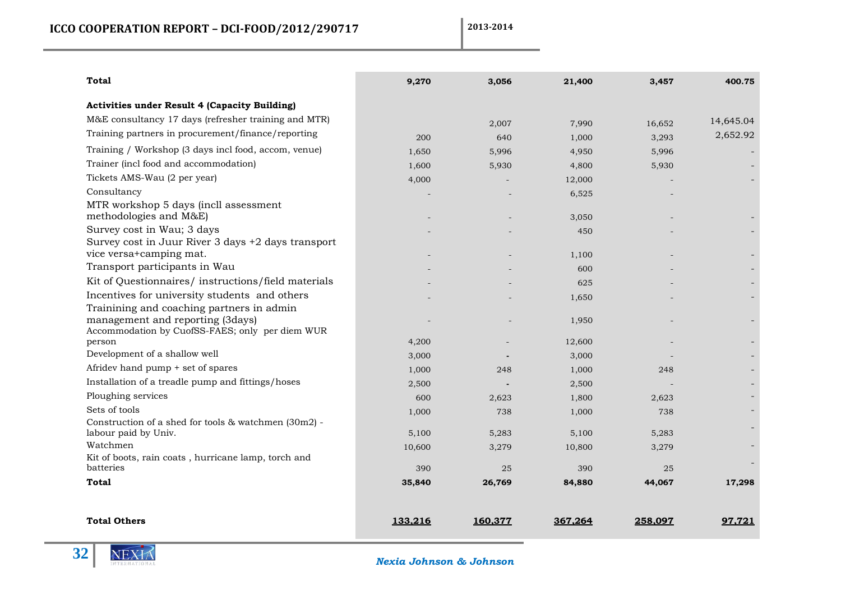| <b>Total</b>                                                                        | 9,270   | 3,056   | 21,400  | 3,457   | 400.75    |
|-------------------------------------------------------------------------------------|---------|---------|---------|---------|-----------|
| <b>Activities under Result 4 (Capacity Building)</b>                                |         |         |         |         |           |
| M&E consultancy 17 days (refresher training and MTR)                                |         | 2,007   | 7,990   | 16,652  | 14,645.04 |
| Training partners in procurement/finance/reporting                                  | 200     | 640     | 1,000   | 3,293   | 2,652.92  |
| Training / Workshop (3 days incl food, accom, venue)                                | 1,650   | 5,996   | 4,950   | 5,996   |           |
| Trainer (incl food and accommodation)                                               | 1,600   | 5,930   | 4,800   | 5,930   |           |
| Tickets AMS-Wau (2 per year)                                                        | 4,000   |         | 12,000  |         |           |
| Consultancy                                                                         |         |         | 6,525   |         |           |
| MTR workshop 5 days (incll assessment                                               |         |         |         |         |           |
| methodologies and M&E)                                                              |         |         | 3,050   |         |           |
| Survey cost in Wau; 3 days                                                          |         |         | 450     |         |           |
| Survey cost in Juur River 3 days +2 days transport                                  |         |         |         |         |           |
| vice versa+camping mat.                                                             |         |         | 1,100   |         |           |
| Transport participants in Wau                                                       |         |         | 600     |         |           |
| Kit of Questionnaires/ instructions/field materials                                 |         |         | 625     |         |           |
| Incentives for university students and others                                       |         |         | 1,650   |         |           |
| Trainining and coaching partners in admin                                           |         |         |         |         |           |
| management and reporting (3days)<br>Accommodation by CuofSS-FAES; only per diem WUR |         |         | 1,950   |         |           |
| person                                                                              | 4,200   |         | 12,600  |         |           |
| Development of a shallow well                                                       | 3,000   |         | 3,000   |         |           |
| Afridev hand pump + set of spares                                                   | 1,000   | 248     | 1,000   | 248     |           |
| Installation of a treadle pump and fittings/hoses                                   | 2,500   |         | 2,500   |         |           |
| Ploughing services                                                                  | 600     | 2,623   | 1,800   | 2,623   |           |
| Sets of tools                                                                       | 1,000   | 738     | 1,000   | 738     |           |
| Construction of a shed for tools & watchmen (30m2) -                                |         |         |         |         |           |
| labour paid by Univ.                                                                | 5,100   | 5,283   | 5,100   | 5,283   |           |
| Watchmen                                                                            | 10,600  | 3,279   | 10,800  | 3,279   |           |
| Kit of boots, rain coats, hurricane lamp, torch and<br>batteries                    | 390     | 25      | 390     | 25      |           |
| <b>Total</b>                                                                        | 35,840  | 26,769  | 84,880  | 44,067  | 17,298    |
|                                                                                     |         |         |         |         |           |
| <b>Total Others</b>                                                                 | 133.216 | 160.377 | 367.264 | 258.097 | 97.721    |

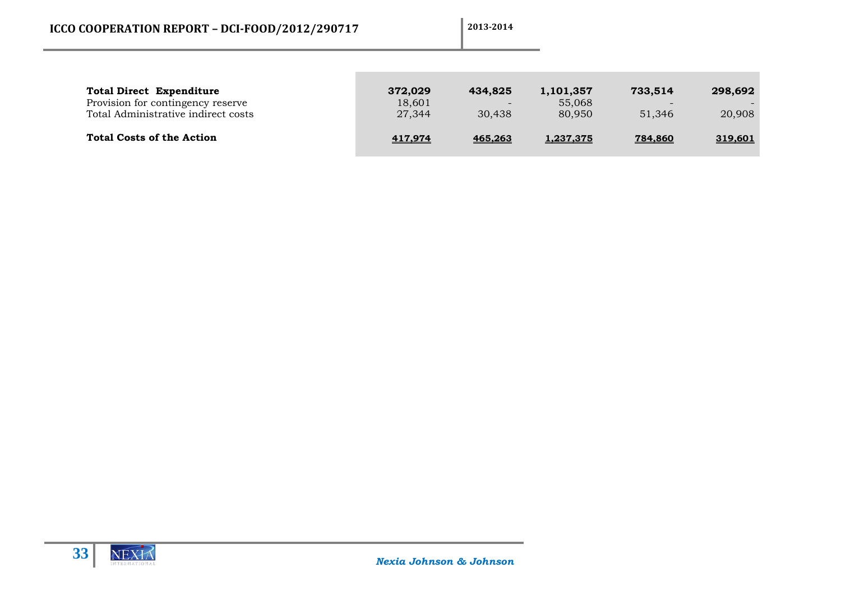| <b>Total Direct Expenditure</b><br>Provision for contingency reserve<br>Total Administrative indirect costs | 372,029<br>18,601<br>27,344 | 434,825<br>$\overline{\phantom{0}}$<br>30.438 | 1,101,357<br>55,068<br>80,950 | 733.514<br>$\overline{\phantom{a}}$<br>51,346 | 298.692<br>20,908 |
|-------------------------------------------------------------------------------------------------------------|-----------------------------|-----------------------------------------------|-------------------------------|-----------------------------------------------|-------------------|
| <b>Total Costs of the Action</b>                                                                            | 417,974                     | 465,263                                       | 1,237,375                     | 784,860                                       | 319,601           |